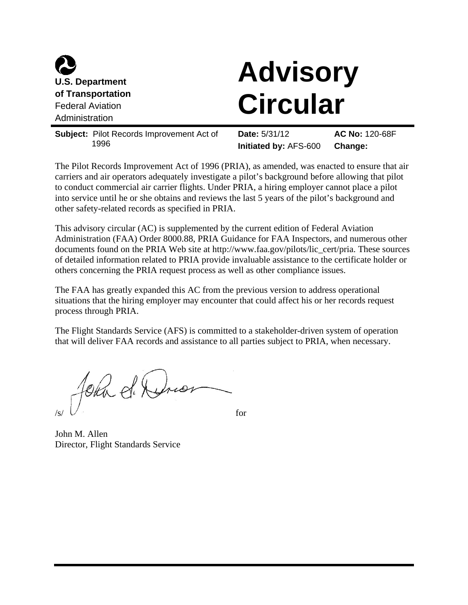

# **Advisory Circular**

**Subject:** Pilot Records Improvement Act of 1996 **Date:** 5/31/12 **Initiated by:** AFS-600 **AC No:** 120-68F **Change:** 

The Pilot Records Improvement Act of 1996 (PRIA), as amended, was enacted to ensure that air carriers and air operators adequately investigate a pilot's background before allowing that pilot to conduct commercial air carrier flights. Under PRIA, a hiring employer cannot place a pilot into service until he or she obtains and reviews the last 5 years of the pilot's background and other safety-related records as specified in PRIA.

This advisory circular (AC) is supplemented by the current edition of Federal Aviation Administration (FAA) Order 8000.88, PRIA Guidance for FAA Inspectors, and numerous other documents found on the PRIA Web site at http://www.faa.gov/pilots/lic\_cert/pria. These sources of detailed information related to PRIA provide invaluable assistance to the certificate holder or others concerning the PRIA request process as well as other compliance issues.

The FAA has greatly expanded this AC from the previous version to address operational situations that the hiring employer may encounter that could affect his or her records request process through PRIA.

The Flight Standards Service (AFS) is committed to a stakeholder-driven system of operation that will deliver FAA records and assistance to all parties subject to PRIA, when necessary.

fehr de Drio  $\mathcal{N}$  for

John M. Allen Director, Flight Standards Service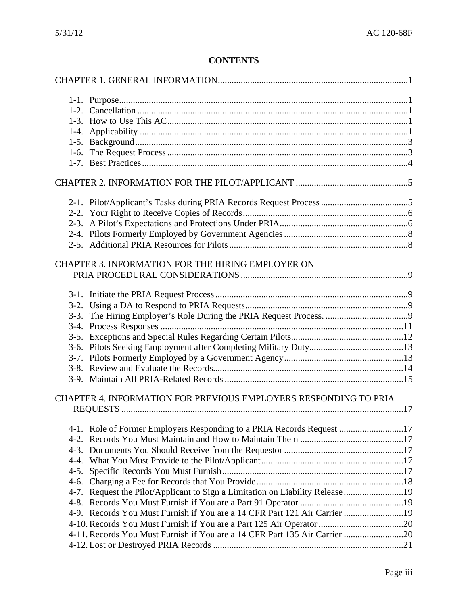# **CONTENTS**

|        | CHAPTER 3. INFORMATION FOR THE HIRING EMPLOYER ON                             |  |
|--------|-------------------------------------------------------------------------------|--|
|        |                                                                               |  |
|        |                                                                               |  |
|        |                                                                               |  |
|        |                                                                               |  |
|        |                                                                               |  |
|        |                                                                               |  |
|        |                                                                               |  |
|        |                                                                               |  |
|        |                                                                               |  |
|        |                                                                               |  |
|        | CHAPTER 4. INFORMATION FOR PREVIOUS EMPLOYERS RESPONDING TO PRIA              |  |
|        |                                                                               |  |
|        | 4-1. Role of Former Employers Responding to a PRIA Records Request 17         |  |
|        |                                                                               |  |
|        |                                                                               |  |
|        |                                                                               |  |
| $4-5.$ |                                                                               |  |
| $4-6.$ |                                                                               |  |
|        | 4-7. Request the Pilot/Applicant to Sign a Limitation on Liability Release 19 |  |
|        |                                                                               |  |
|        | 4-9. Records You Must Furnish if You are a 14 CFR Part 121 Air Carrier 19     |  |
|        |                                                                               |  |
|        | 4-11. Records You Must Furnish if You are a 14 CFR Part 135 Air Carrier 20    |  |
|        |                                                                               |  |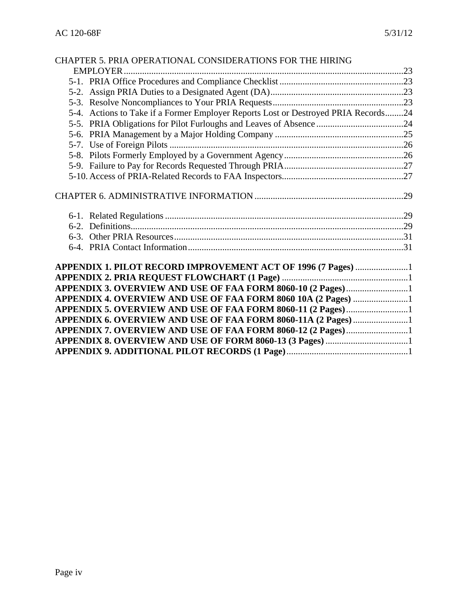|  | CHAPTER 5. PRIA OPERATIONAL CONSIDERATIONS FOR THE HIRING                          |  |  |  |
|--|------------------------------------------------------------------------------------|--|--|--|
|  |                                                                                    |  |  |  |
|  |                                                                                    |  |  |  |
|  |                                                                                    |  |  |  |
|  |                                                                                    |  |  |  |
|  | 5-4. Actions to Take if a Former Employer Reports Lost or Destroyed PRIA Records24 |  |  |  |
|  |                                                                                    |  |  |  |
|  |                                                                                    |  |  |  |
|  |                                                                                    |  |  |  |
|  |                                                                                    |  |  |  |
|  |                                                                                    |  |  |  |
|  |                                                                                    |  |  |  |
|  |                                                                                    |  |  |  |
|  |                                                                                    |  |  |  |
|  |                                                                                    |  |  |  |
|  |                                                                                    |  |  |  |
|  |                                                                                    |  |  |  |
|  | APPENDIX 1. PILOT RECORD IMPROVEMENT ACT OF 1996 (7 Pages) 1                       |  |  |  |
|  |                                                                                    |  |  |  |
|  |                                                                                    |  |  |  |
|  | APPENDIX 4. OVERVIEW AND USE OF FAA FORM 8060 10A (2 Pages) 1                      |  |  |  |
|  |                                                                                    |  |  |  |
|  |                                                                                    |  |  |  |
|  |                                                                                    |  |  |  |
|  |                                                                                    |  |  |  |
|  |                                                                                    |  |  |  |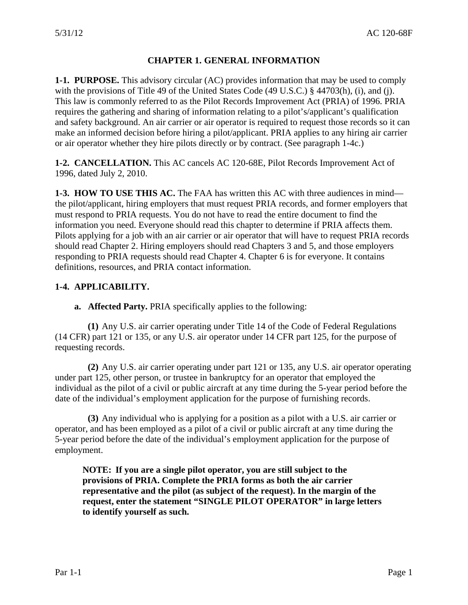# **CHAPTER 1. GENERAL INFORMATION**

<span id="page-3-0"></span>**1-1. PURPOSE.** This advisory circular (AC) provides information that may be used to comply with the provisions of Title 49 of the United States Code (49 U.S.C.) § 44703(h), (i), and (j). This law is commonly referred to as the Pilot Records Improvement Act (PRIA) of 1996. PRIA requires the gathering and sharing of information relating to a pilot's/applicant's qualification and safety background. An air carrier or air operator is required to request those records so it can make an informed decision before hiring a pilot/applicant. PRIA applies to any hiring air carrier or air operator whether they hire pilots directly or by contract. (See paragraph 1-4c.)

**1-2. CANCELLATION.** This AC cancels AC 120-68E, Pilot Records Improvement Act of 1996, dated July 2, 2010.

**1-3. HOW TO USE THIS AC.** The FAA has written this AC with three audiences in mind the pilot/applicant, hiring employers that must request PRIA records, and former employers that must respond to PRIA requests. You do not have to read the entire document to find the information you need. Everyone should read this chapter to determine if PRIA affects them. Pilots applying for a job with an air carrier or air operator that will have to request PRIA records should read Chapter 2. Hiring employers should read Chapters 3 and 5, and those employers responding to PRIA requests should read Chapter 4. Chapter 6 is for everyone. It contains definitions, resources, and PRIA contact information.

## **1-4. APPLICABILITY.**

**a. Affected Party.** PRIA specifically applies to the following:

**(1)** Any U.S. air carrier operating under Title 14 of the Code of Federal Regulations (14 CFR) part 121 or 135, or any U.S. air operator under 14 CFR part 125, for the purpose of requesting records.

**(2)** Any U.S. air carrier operating under part 121 or 135, any U.S. air operator operating under part 125, other person, or trustee in bankruptcy for an operator that employed the individual as the pilot of a civil or public aircraft at any time during the 5-year period before the date of the individual's employment application for the purpose of furnishing records.

**(3)** Any individual who is applying for a position as a pilot with a U.S. air carrier or operator, and has been employed as a pilot of a civil or public aircraft at any time during the 5-year period before the date of the individual's employment application for the purpose of employment.

**NOTE: If you are a single pilot operator, you are still subject to the provisions of PRIA. Complete the PRIA forms as both the air carrier representative and the pilot (as subject of the request). In the margin of the request, enter the statement "SINGLE PILOT OPERATOR" in large letters to identify yourself as such.**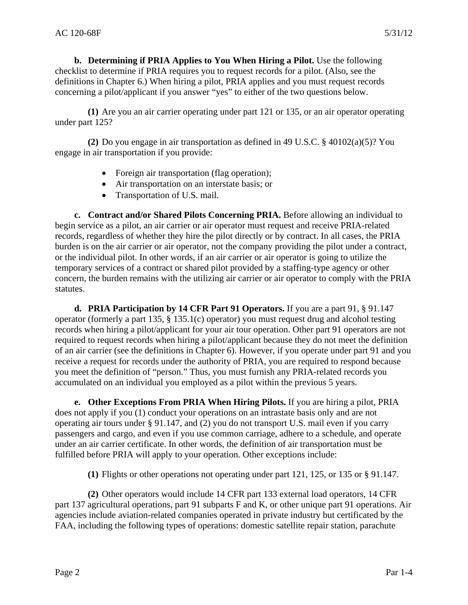**b. Determining if PRIA Applies to You When Hiring a Pilot.** Use the following checklist to determine if PRIA requires you to request records for a pilot. (Also, see the definitions in Chapter 6.) When hiring a pilot, PRIA applies and you must request records concerning a pilot/applicant if you answer "yes" to either of the two questions below.

**(1)** Are you an air carrier operating under part 121 or 135, or an air operator operating under part 125?

**(2)** Do you engage in air transportation as defined in 49 U.S.C. § 40102(a)(5)? You engage in air transportation if you provide:

- Foreign air transportation (flag operation);
- Air transportation on an interstate basis; or
- Transportation of U.S. mail.

**c. Contract and/or Shared Pilots Concerning PRIA.** Before allowing an individual to begin service as a pilot, an air carrier or air operator must request and receive PRIA-related records, regardless of whether they hire the pilot directly or by contract. In all cases, the PRIA burden is on the air carrier or air operator, not the company providing the pilot under a contract, or the individual pilot. In other words, if an air carrier or air operator is going to utilize the temporary services of a contract or shared pilot provided by a staffing-type agency or other concern, the burden remains with the utilizing air carrier or air operator to comply with the PRIA statutes.

**d. PRIA Participation by 14 CFR Part 91 Operators.** If you are a part 91, § 91.147 operator (formerly a part 135, § 135.1(c) operator) you must request drug and alcohol testing records when hiring a pilot/applicant for your air tour operation. Other part 91 operators are not required to request records when hiring a pilot/applicant because they do not meet the definition of an air carrier (see the definitions in Chapter 6). However, if you operate under part 91 and you receive a request for records under the authority of PRIA, you are required to respond because you meet the definition of "person." Thus, you must furnish any PRIA-related records you accumulated on an individual you employed as a pilot within the previous 5 years.

**e. Other Exceptions From PRIA When Hiring Pilots.** If you are hiring a pilot, PRIA does not apply if you (1) conduct your operations on an intrastate basis only and are not operating air tours under § 91.147, and (2) you do not transport U.S. mail even if you carry passengers and cargo, and even if you use common carriage, adhere to a schedule, and operate under an air carrier certificate. In other words, the definition of air transportation must be fulfilled before PRIA will apply to your operation. Other exceptions include:

**(1)** Flights or other operations not operating under part 121, 125, or 135 or § 91.147.

**(2)** Other operators would include 14 CFR part 133 external load operators, 14 CFR part 137 agricultural operations, part 91 subparts F and K, or other unique part 91 operations. Air agencies include aviation-related companies operated in private industry but certificated by the FAA, including the following types of operations: domestic satellite repair station, parachute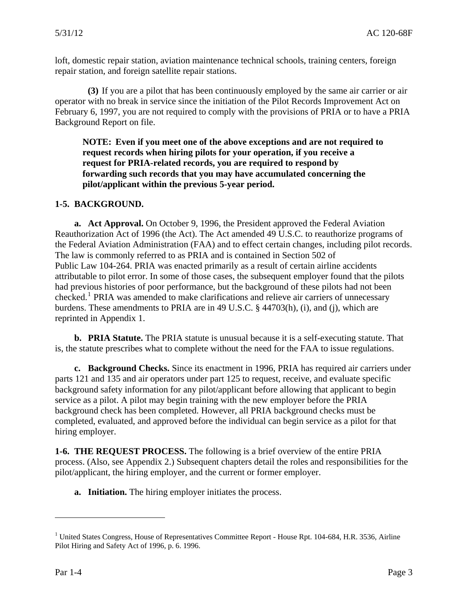<span id="page-5-0"></span>loft, domestic repair station, aviation maintenance technical schools, training centers, foreign repair station, and foreign satellite repair stations.

**(3)** If you are a pilot that has been continuously employed by the same air carrier or air operator with no break in service since the initiation of the Pilot Records Improvement Act on February 6, 1997, you are not required to comply with the provisions of PRIA or to have a PRIA Background Report on file.

**NOTE: Even if you meet one of the above exceptions and are not required to request records when hiring pilots for your operation, if you receive a request for PRIA-related records, you are required to respond by forwarding such records that you may have accumulated concerning the pilot/applicant within the previous 5-year period.** 

## **1-5. BACKGROUND.**

**a. Act Approval.** On October 9, 1996, the President approved the Federal Aviation Reauthorization Act of 1996 (the Act). The Act amended 49 U.S.C. to reauthorize programs of the Federal Aviation Administration (FAA) and to effect certain changes, including pilot records. The law is commonly referred to as PRIA and is contained in Section 502 of Public Law 104-264. PRIA was enacted primarily as a result of certain airline accidents attributable to pilot error. In some of those cases, the subsequent employer found that the pilots had previous histories of poor performance, but the background of these pilots had not been checked.<sup>[1](#page-5-1)</sup> PRIA was amended to make clarifications and relieve air carriers of unnecessary burdens. These amendments to PRIA are in 49 U.S.C. § 44703(h), (i), and (j), which are reprinted in Appendix 1.

**b. PRIA Statute.** The PRIA statute is unusual because it is a self-executing statute. That is, the statute prescribes what to complete without the need for the FAA to issue regulations.

**c. Background Checks.** Since its enactment in 1996, PRIA has required air carriers under parts 121 and 135 and air operators under part 125 to request, receive, and evaluate specific background safety information for any pilot/applicant before allowing that applicant to begin service as a pilot. A pilot may begin training with the new employer before the PRIA background check has been completed. However, all PRIA background checks must be completed, evaluated, and approved before the individual can begin service as a pilot for that hiring employer.

**1-6. THE REQUEST PROCESS.** The following is a brief overview of the entire PRIA process. (Also, see Appendix 2.) Subsequent chapters detail the roles and responsibilities for the pilot/applicant, the hiring employer, and the current or former employer.

**a. Initiation.** The hiring employer initiates the process.

 $\overline{a}$ 

<span id="page-5-1"></span><sup>&</sup>lt;sup>1</sup> United States Congress, House of Representatives Committee Report - House Rpt. 104-684, H.R. 3536, Airline Pilot Hiring and Safety Act of 1996, p. 6. 1996.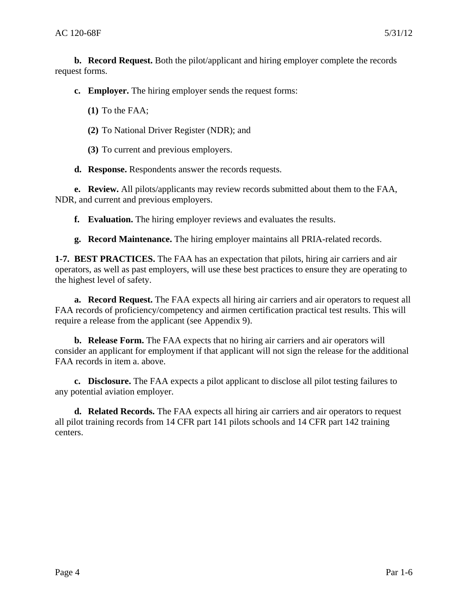<span id="page-6-0"></span>**b. Record Request.** Both the pilot/applicant and hiring employer complete the records request forms.

**c. Employer.** The hiring employer sends the request forms:

**(1)** To the FAA;

**(2)** To National Driver Register (NDR); and

**(3)** To current and previous employers.

**d. Response.** Respondents answer the records requests.

**e. Review.** All pilots/applicants may review records submitted about them to the FAA, NDR, and current and previous employers.

**f. Evaluation.** The hiring employer reviews and evaluates the results.

**g. Record Maintenance.** The hiring employer maintains all PRIA-related records.

**1-7. BEST PRACTICES.** The FAA has an expectation that pilots, hiring air carriers and air operators, as well as past employers, will use these best practices to ensure they are operating to the highest level of safety.

**a. Record Request.** The FAA expects all hiring air carriers and air operators to request all FAA records of proficiency/competency and airmen certification practical test results. This will require a release from the applicant (see Appendix 9).

**b. Release Form.** The FAA expects that no hiring air carriers and air operators will consider an applicant for employment if that applicant will not sign the release for the additional FAA records in item a. above.

**c. Disclosure.** The FAA expects a pilot applicant to disclose all pilot testing failures to any potential aviation employer.

**d. Related Records.** The FAA expects all hiring air carriers and air operators to request all pilot training records from 14 CFR part 141 pilots schools and 14 CFR part 142 training centers.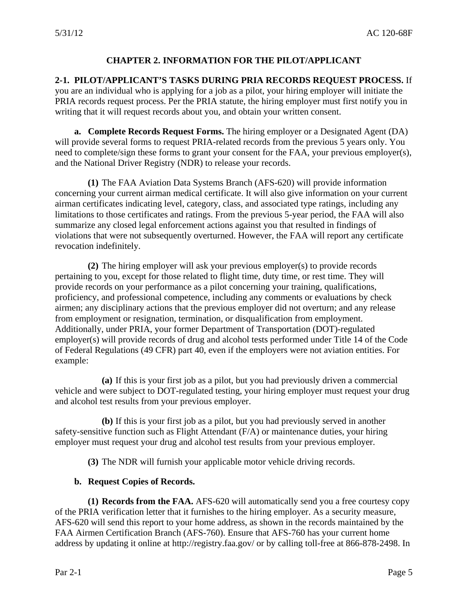#### **CHAPTER 2. INFORMATION FOR THE PILOT/APPLICANT**

<span id="page-7-0"></span>**2-1. PILOT/APPLICANT'S TASKS DURING PRIA RECORDS REQUEST PROCESS.** If

you are an individual who is applying for a job as a pilot, your hiring employer will initiate the PRIA records request process. Per the PRIA statute, the hiring employer must first notify you in writing that it will request records about you, and obtain your written consent.

**a. Complete Records Request Forms.** The hiring employer or a Designated Agent (DA) will provide several forms to request PRIA-related records from the previous 5 years only. You need to complete/sign these forms to grant your consent for the FAA, your previous employer(s), and the National Driver Registry (NDR) to release your records.

**(1)** The FAA Aviation Data Systems Branch (AFS-620) will provide information concerning your current airman medical certificate. It will also give information on your current airman certificates indicating level, category, class, and associated type ratings, including any limitations to those certificates and ratings. From the previous 5-year period, the FAA will also summarize any closed legal enforcement actions against you that resulted in findings of violations that were not subsequently overturned. However, the FAA will report any certificate revocation indefinitely.

**(2)** The hiring employer will ask your previous employer(s) to provide records pertaining to you, except for those related to flight time, duty time, or rest time. They will provide records on your performance as a pilot concerning your training, qualifications, proficiency, and professional competence, including any comments or evaluations by check airmen; any disciplinary actions that the previous employer did not overturn; and any release from employment or resignation, termination, or disqualification from employment. Additionally, under PRIA, your former Department of Transportation (DOT)-regulated employer(s) will provide records of drug and alcohol tests performed under Title 14 of the Code of Federal Regulations (49 CFR) part 40, even if the employers were not aviation entities. For example:

**(a)** If this is your first job as a pilot, but you had previously driven a commercial vehicle and were subject to DOT-regulated testing, your hiring employer must request your drug and alcohol test results from your previous employer.

**(b)** If this is your first job as a pilot, but you had previously served in another safety-sensitive function such as Flight Attendant (F/A) or maintenance duties, your hiring employer must request your drug and alcohol test results from your previous employer.

**(3)** The NDR will furnish your applicable motor vehicle driving records.

#### **b. Request Copies of Records.**

**(1) Records from the FAA.** AFS-620 will automatically send you a free courtesy copy of the PRIA verification letter that it furnishes to the hiring employer. As a security measure, AFS-620 will send this report to your home address, as shown in the records maintained by the FAA Airmen Certification Branch (AFS-760). Ensure that AFS-760 has your current home address by updating it online at http://registry.faa.gov/ or by calling toll-free at 866-878-2498. In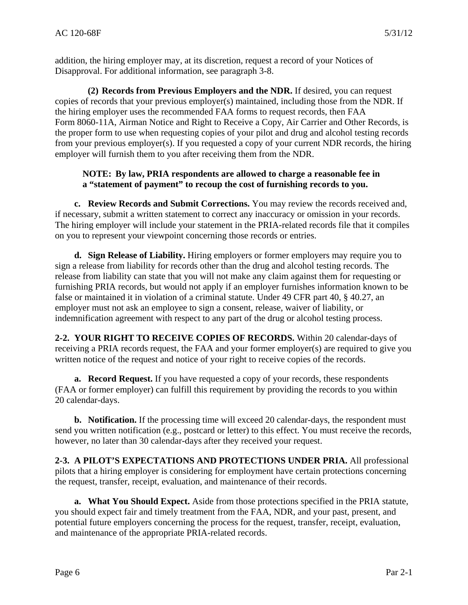<span id="page-8-0"></span>addition, the hiring employer may, at its discretion, request a record of your Notices of Disapproval. For additional information, see paragraph 3-8.

**(2) Records from Previous Employers and the NDR.** If desired, you can request copies of records that your previous employer(s) maintained, including those from the NDR. If the hiring employer uses the recommended FAA forms to request records, then FAA Form 8060-11A, Airman Notice and Right to Receive a Copy, Air Carrier and Other Records, is the proper form to use when requesting copies of your pilot and drug and alcohol testing records from your previous employer(s). If you requested a copy of your current NDR records, the hiring employer will furnish them to you after receiving them from the NDR.

# **NOTE: By law, PRIA respondents are allowed to charge a reasonable fee in a "statement of payment" to recoup the cost of furnishing records to you.**

**c. Review Records and Submit Corrections.** You may review the records received and, if necessary, submit a written statement to correct any inaccuracy or omission in your records. The hiring employer will include your statement in the PRIA-related records file that it compiles on you to represent your viewpoint concerning those records or entries.

**d. Sign Release of Liability.** Hiring employers or former employers may require you to sign a release from liability for records other than the drug and alcohol testing records. The release from liability can state that you will not make any claim against them for requesting or furnishing PRIA records, but would not apply if an employer furnishes information known to be false or maintained it in violation of a criminal statute. Under 49 CFR part 40, § 40.27, an employer must not ask an employee to sign a consent, release, waiver of liability, or indemnification agreement with respect to any part of the drug or alcohol testing process.

**2-2. YOUR RIGHT TO RECEIVE COPIES OF RECORDS.** Within 20 calendar-days of receiving a PRIA records request, the FAA and your former employer(s) are required to give you written notice of the request and notice of your right to receive copies of the records.

**a. Record Request.** If you have requested a copy of your records, these respondents (FAA or former employer) can fulfill this requirement by providing the records to you within 20 calendar-days.

**b. Notification.** If the processing time will exceed 20 calendar-days, the respondent must send you written notification (e.g., postcard or letter) to this effect. You must receive the records, however, no later than 30 calendar-days after they received your request.

**2-3. A PILOT'S EXPECTATIONS AND PROTECTIONS UNDER PRIA.** All professional pilots that a hiring employer is considering for employment have certain protections concerning the request, transfer, receipt, evaluation, and maintenance of their records.

**a. What You Should Expect.** Aside from those protections specified in the PRIA statute, you should expect fair and timely treatment from the FAA, NDR, and your past, present, and potential future employers concerning the process for the request, transfer, receipt, evaluation, and maintenance of the appropriate PRIA-related records.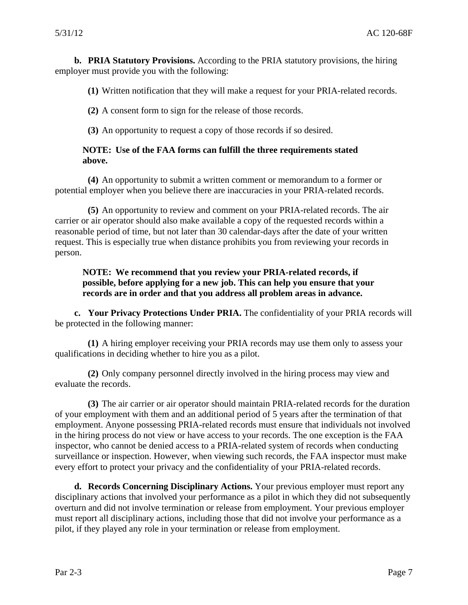**b. PRIA Statutory Provisions.** According to the PRIA statutory provisions, the hiring employer must provide you with the following:

**(1)** Written notification that they will make a request for your PRIA-related records.

**(2)** A consent form to sign for the release of those records.

**(3)** An opportunity to request a copy of those records if so desired.

#### **NOTE: Use of the FAA forms can fulfill the three requirements stated above.**

**(4)** An opportunity to submit a written comment or memorandum to a former or potential employer when you believe there are inaccuracies in your PRIA-related records.

**(5)** An opportunity to review and comment on your PRIA-related records. The air carrier or air operator should also make available a copy of the requested records within a reasonable period of time, but not later than 30 calendar-days after the date of your written request. This is especially true when distance prohibits you from reviewing your records in person.

## **NOTE: We recommend that you review your PRIA-related records, if possible, before applying for a new job. This can help you ensure that your records are in order and that you address all problem areas in advance.**

**c. Your Privacy Protections Under PRIA.** The confidentiality of your PRIA records will be protected in the following manner:

**(1)** A hiring employer receiving your PRIA records may use them only to assess your qualifications in deciding whether to hire you as a pilot.

**(2)** Only company personnel directly involved in the hiring process may view and evaluate the records.

**(3)** The air carrier or air operator should maintain PRIA-related records for the duration of your employment with them and an additional period of 5 years after the termination of that employment. Anyone possessing PRIA-related records must ensure that individuals not involved in the hiring process do not view or have access to your records. The one exception is the FAA inspector, who cannot be denied access to a PRIA-related system of records when conducting surveillance or inspection. However, when viewing such records, the FAA inspector must make every effort to protect your privacy and the confidentiality of your PRIA-related records.

**d. Records Concerning Disciplinary Actions.** Your previous employer must report any disciplinary actions that involved your performance as a pilot in which they did not subsequently overturn and did not involve termination or release from employment. Your previous employer must report all disciplinary actions, including those that did not involve your performance as a pilot, if they played any role in your termination or release from employment.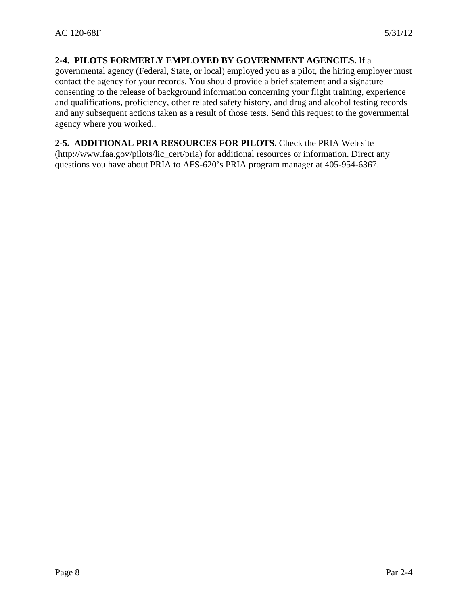#### <span id="page-10-0"></span>**2-4. PILOTS FORMERLY EMPLOYED BY GOVERNMENT AGENCIES.** If a

governmental agency (Federal, State, or local) employed you as a pilot, the hiring employer must contact the agency for your records. You should provide a brief statement and a signature consenting to the release of background information concerning your flight training, experience and qualifications, proficiency, other related safety history, and drug and alcohol testing records and any subsequent actions taken as a result of those tests. Send this request to the governmental agency where you worked..

#### **2-5. ADDITIONAL PRIA RESOURCES FOR PILOTS.** Check the PRIA Web site (http://www.faa.gov/pilots/lic\_cert/pria) for additional resources or information. Direct any questions you have about PRIA to AFS-620's PRIA program manager at 405-954-6367.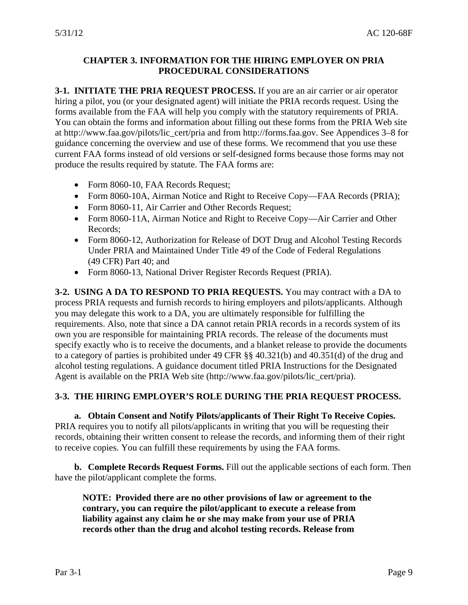## <span id="page-11-0"></span>**CHAPTER 3. INFORMATION FOR THE HIRING EMPLOYER ON PRIA PROCEDURAL CONSIDERATIONS**

**3-1. INITIATE THE PRIA REQUEST PROCESS.** If you are an air carrier or air operator hiring a pilot, you (or your designated agent) will initiate the PRIA records request. Using the forms available from the FAA will help you comply with the statutory requirements of PRIA. You can obtain the forms and information about filling out these forms from the PRIA Web site at http://www.faa.gov/pilots/lic\_cert/pria and from http://forms.faa.gov. See Appendices 3–8 for guidance concerning the overview and use of these forms. We recommend that you use these current FAA forms instead of old versions or self-designed forms because those forms may not produce the results required by statute. The FAA forms are:

- Form 8060-10, FAA Records Request;
- Form 8060-10A, Airman Notice and Right to Receive Copy—FAA Records (PRIA);
- Form 8060-11, Air Carrier and Other Records Request;
- Form 8060-11A, Airman Notice and Right to Receive Copy—Air Carrier and Other Records;
- Form 8060-12, Authorization for Release of DOT Drug and Alcohol Testing Records Under PRIA and Maintained Under Title 49 of the Code of Federal Regulations (49 CFR) Part 40; and
- Form 8060-13, National Driver Register Records Request (PRIA).

**3-2. USING A DA TO RESPOND TO PRIA REQUESTS.** You may contract with a DA to process PRIA requests and furnish records to hiring employers and pilots/applicants. Although you may delegate this work to a DA, you are ultimately responsible for fulfilling the requirements. Also, note that since a DA cannot retain PRIA records in a records system of its own you are responsible for maintaining PRIA records. The release of the documents must specify exactly who is to receive the documents, and a blanket release to provide the documents to a category of parties is prohibited under 49 CFR §§ 40.321(b) and 40.351(d) of the drug and alcohol testing regulations. A guidance document titled PRIA Instructions for the Designated Agent is available on the PRIA Web site (http://www.faa.gov/pilots/lic\_cert/pria).

## **3-3. THE HIRING EMPLOYER'S ROLE DURING THE PRIA REQUEST PROCESS.**

**a. Obtain Consent and Notify Pilots/applicants of Their Right To Receive Copies.** PRIA requires you to notify all pilots/applicants in writing that you will be requesting their records, obtaining their written consent to release the records, and informing them of their right to receive copies. You can fulfill these requirements by using the FAA forms.

**b. Complete Records Request Forms.** Fill out the applicable sections of each form. Then have the pilot/applicant complete the forms.

**NOTE: Provided there are no other provisions of law or agreement to the contrary, you can require the pilot/applicant to execute a release from liability against any claim he or she may make from your use of PRIA records other than the drug and alcohol testing records. Release from**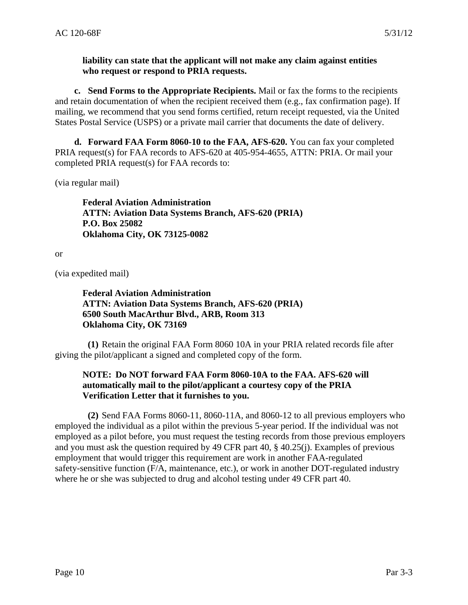#### **liability can state that the applicant will not make any claim against entities who request or respond to PRIA requests.**

**c. Send Forms to the Appropriate Recipients.** Mail or fax the forms to the recipients and retain documentation of when the recipient received them (e.g., fax confirmation page). If mailing, we recommend that you send forms certified, return receipt requested, via the United States Postal Service (USPS) or a private mail carrier that documents the date of delivery.

**d. Forward FAA Form 8060-10 to the FAA, AFS-620.** You can fax your completed PRIA request(s) for FAA records to AFS-620 at 405-954-4655, ATTN: PRIA. Or mail your completed PRIA request(s) for FAA records to:

(via regular mail)

**Federal Aviation Administration ATTN: Aviation Data Systems Branch, AFS-620 (PRIA) P.O. Box 25082 Oklahoma City, OK 73125-0082** 

or

(via expedited mail)

**Federal Aviation Administration ATTN: Aviation Data Systems Branch, AFS-620 (PRIA) 6500 South MacArthur Blvd., ARB, Room 313 Oklahoma City, OK 73169** 

**(1)** Retain the original FAA Form 8060 10A in your PRIA related records file after giving the pilot/applicant a signed and completed copy of the form.

#### **NOTE: Do NOT forward FAA Form 8060-10A to the FAA. AFS-620 will automatically mail to the pilot/applicant a courtesy copy of the PRIA Verification Letter that it furnishes to you.**

**(2)** Send FAA Forms 8060-11, 8060-11A, and 8060-12 to all previous employers who employed the individual as a pilot within the previous 5-year period. If the individual was not employed as a pilot before, you must request the testing records from those previous employers and you must ask the question required by 49 CFR part 40, § 40.25(j). Examples of previous employment that would trigger this requirement are work in another FAA-regulated safety-sensitive function (F/A, maintenance, etc.), or work in another DOT-regulated industry where he or she was subjected to drug and alcohol testing under 49 CFR part 40.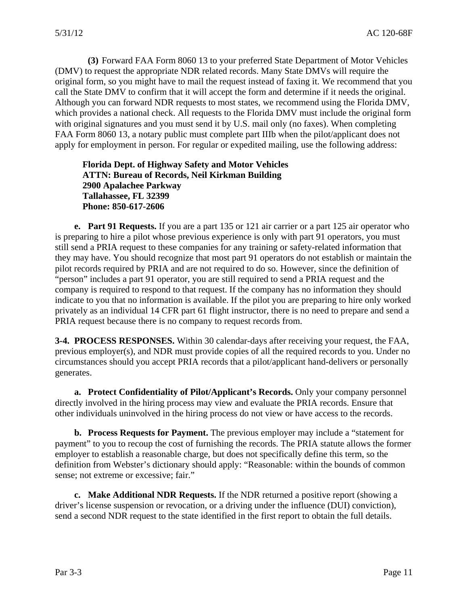<span id="page-13-0"></span>**(3)** Forward FAA Form 8060 13 to your preferred State Department of Motor Vehicles (DMV) to request the appropriate NDR related records. Many State DMVs will require the original form, so you might have to mail the request instead of faxing it. We recommend that you call the State DMV to confirm that it will accept the form and determine if it needs the original. Although you can forward NDR requests to most states, we recommend using the Florida DMV, which provides a national check. All requests to the Florida DMV must include the original form with original signatures and you must send it by U.S. mail only (no faxes). When completing FAA Form 8060 13, a notary public must complete part IIIb when the pilot/applicant does not apply for employment in person. For regular or expedited mailing, use the following address:

**Florida Dept. of Highway Safety and Motor Vehicles ATTN: Bureau of Records, Neil Kirkman Building 2900 Apalachee Parkway Tallahassee, FL 32399 Phone: 850-617-2606** 

**e. Part 91 Requests.** If you are a part 135 or 121 air carrier or a part 125 air operator who is preparing to hire a pilot whose previous experience is only with part 91 operators, you must still send a PRIA request to these companies for any training or safety-related information that they may have. You should recognize that most part 91 operators do not establish or maintain the pilot records required by PRIA and are not required to do so. However, since the definition of "person" includes a part 91 operator, you are still required to send a PRIA request and the company is required to respond to that request. If the company has no information they should indicate to you that no information is available. If the pilot you are preparing to hire only worked privately as an individual 14 CFR part 61 flight instructor, there is no need to prepare and send a PRIA request because there is no company to request records from.

**3-4. PROCESS RESPONSES.** Within 30 calendar-days after receiving your request, the FAA, previous employer(s), and NDR must provide copies of all the required records to you. Under no circumstances should you accept PRIA records that a pilot/applicant hand-delivers or personally generates.

**a. Protect Confidentiality of Pilot/Applicant's Records.** Only your company personnel directly involved in the hiring process may view and evaluate the PRIA records. Ensure that other individuals uninvolved in the hiring process do not view or have access to the records.

**b. Process Requests for Payment.** The previous employer may include a "statement for payment" to you to recoup the cost of furnishing the records. The PRIA statute allows the former employer to establish a reasonable charge, but does not specifically define this term, so the definition from Webster's dictionary should apply: "Reasonable: within the bounds of common sense; not extreme or excessive; fair."

**c. Make Additional NDR Requests.** If the NDR returned a positive report (showing a driver's license suspension or revocation, or a driving under the influence (DUI) conviction), send a second NDR request to the state identified in the first report to obtain the full details.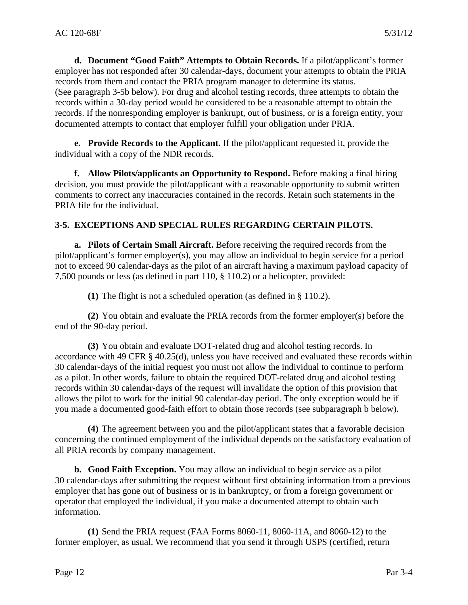<span id="page-14-0"></span>**d. Document "Good Faith" Attempts to Obtain Records.** If a pilot/applicant's former employer has not responded after 30 calendar-days, document your attempts to obtain the PRIA records from them and contact the PRIA program manager to determine its status. (See paragraph 3-5b below). For drug and alcohol testing records, three attempts to obtain the records within a 30-day period would be considered to be a reasonable attempt to obtain the records. If the nonresponding employer is bankrupt, out of business, or is a foreign entity, your documented attempts to contact that employer fulfill your obligation under PRIA.

**e. Provide Records to the Applicant.** If the pilot/applicant requested it, provide the individual with a copy of the NDR records.

**f. Allow Pilots/applicants an Opportunity to Respond.** Before making a final hiring decision, you must provide the pilot/applicant with a reasonable opportunity to submit written comments to correct any inaccuracies contained in the records. Retain such statements in the PRIA file for the individual.

# **3-5. EXCEPTIONS AND SPECIAL RULES REGARDING CERTAIN PILOTS.**

**a. Pilots of Certain Small Aircraft.** Before receiving the required records from the pilot/applicant's former employer(s), you may allow an individual to begin service for a period not to exceed 90 calendar-days as the pilot of an aircraft having a maximum payload capacity of 7,500 pounds or less (as defined in part 110, § 110.2) or a helicopter, provided:

**(1)** The flight is not a scheduled operation (as defined in § 110.2).

**(2)** You obtain and evaluate the PRIA records from the former employer(s) before the end of the 90-day period.

**(3)** You obtain and evaluate DOT-related drug and alcohol testing records. In accordance with 49 CFR § 40.25(d), unless you have received and evaluated these records within 30 calendar-days of the initial request you must not allow the individual to continue to perform as a pilot. In other words, failure to obtain the required DOT-related drug and alcohol testing records within 30 calendar-days of the request will invalidate the option of this provision that allows the pilot to work for the initial 90 calendar-day period. The only exception would be if you made a documented good-faith effort to obtain those records (see subparagraph b below).

**(4)** The agreement between you and the pilot/applicant states that a favorable decision concerning the continued employment of the individual depends on the satisfactory evaluation of all PRIA records by company management.

**b. Good Faith Exception.** You may allow an individual to begin service as a pilot 30 calendar-days after submitting the request without first obtaining information from a previous employer that has gone out of business or is in bankruptcy, or from a foreign government or operator that employed the individual, if you make a documented attempt to obtain such information.

**(1)** Send the PRIA request (FAA Forms 8060-11, 8060-11A, and 8060-12) to the former employer, as usual. We recommend that you send it through USPS (certified, return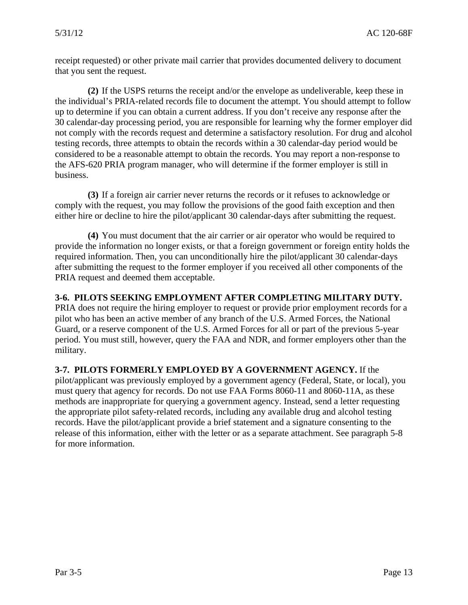<span id="page-15-0"></span>receipt requested) or other private mail carrier that provides documented delivery to document that you sent the request.

**(2)** If the USPS returns the receipt and/or the envelope as undeliverable, keep these in the individual's PRIA-related records file to document the attempt. You should attempt to follow up to determine if you can obtain a current address. If you don't receive any response after the 30 calendar-day processing period, you are responsible for learning why the former employer did not comply with the records request and determine a satisfactory resolution. For drug and alcohol testing records, three attempts to obtain the records within a 30 calendar-day period would be considered to be a reasonable attempt to obtain the records. You may report a non-response to the AFS-620 PRIA program manager, who will determine if the former employer is still in business.

**(3)** If a foreign air carrier never returns the records or it refuses to acknowledge or comply with the request, you may follow the provisions of the good faith exception and then either hire or decline to hire the pilot/applicant 30 calendar-days after submitting the request.

**(4)** You must document that the air carrier or air operator who would be required to provide the information no longer exists, or that a foreign government or foreign entity holds the required information. Then, you can unconditionally hire the pilot/applicant 30 calendar-days after submitting the request to the former employer if you received all other components of the PRIA request and deemed them acceptable.

**3-6. PILOTS SEEKING EMPLOYMENT AFTER COMPLETING MILITARY DUTY.**  PRIA does not require the hiring employer to request or provide prior employment records for a pilot who has been an active member of any branch of the U.S. Armed Forces, the National Guard, or a reserve component of the U.S. Armed Forces for all or part of the previous 5-year period. You must still, however, query the FAA and NDR, and former employers other than the military.

**3-7. PILOTS FORMERLY EMPLOYED BY A GOVERNMENT AGENCY.** If the pilot/applicant was previously employed by a government agency (Federal, State, or local), you must query that agency for records. Do not use FAA Forms 8060-11 and 8060-11A, as these methods are inappropriate for querying a government agency. Instead, send a letter requesting the appropriate pilot safety-related records, including any available drug and alcohol testing records. Have the pilot/applicant provide a brief statement and a signature consenting to the release of this information, either with the letter or as a separate attachment. See paragraph 5-8 for more information.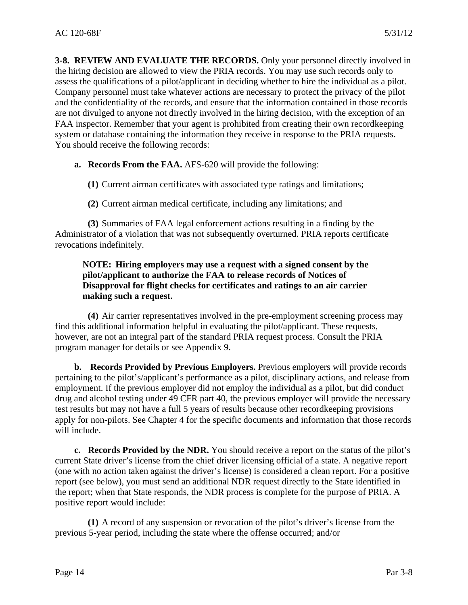<span id="page-16-0"></span>**3-8. REVIEW AND EVALUATE THE RECORDS.** Only your personnel directly involved in the hiring decision are allowed to view the PRIA records. You may use such records only to assess the qualifications of a pilot/applicant in deciding whether to hire the individual as a pilot. Company personnel must take whatever actions are necessary to protect the privacy of the pilot and the confidentiality of the records, and ensure that the information contained in those records are not divulged to anyone not directly involved in the hiring decision, with the exception of an FAA inspector. Remember that your agent is prohibited from creating their own recordkeeping system or database containing the information they receive in response to the PRIA requests. You should receive the following records:

**a. Records From the FAA.** AFS-620 will provide the following:

**(1)** Current airman certificates with associated type ratings and limitations;

**(2)** Current airman medical certificate, including any limitations; and

**(3)** Summaries of FAA legal enforcement actions resulting in a finding by the Administrator of a violation that was not subsequently overturned. PRIA reports certificate revocations indefinitely.

#### **NOTE: Hiring employers may use a request with a signed consent by the pilot/applicant to authorize the FAA to release records of Notices of Disapproval for flight checks for certificates and ratings to an air carrier making such a request.**

**(4)** Air carrier representatives involved in the pre-employment screening process may find this additional information helpful in evaluating the pilot/applicant. These requests, however, are not an integral part of the standard PRIA request process. Consult the PRIA program manager for details or see Appendix 9.

**b. Records Provided by Previous Employers.** Previous employers will provide records pertaining to the pilot's/applicant's performance as a pilot, disciplinary actions, and release from employment. If the previous employer did not employ the individual as a pilot, but did conduct drug and alcohol testing under 49 CFR part 40, the previous employer will provide the necessary test results but may not have a full 5 years of results because other recordkeeping provisions apply for non-pilots. See Chapter 4 for the specific documents and information that those records will include.

**c. Records Provided by the NDR.** You should receive a report on the status of the pilot's current State driver's license from the chief driver licensing official of a state. A negative report (one with no action taken against the driver's license) is considered a clean report. For a positive report (see below), you must send an additional NDR request directly to the State identified in the report; when that State responds, the NDR process is complete for the purpose of PRIA. A positive report would include:

**(1)** A record of any suspension or revocation of the pilot's driver's license from the previous 5-year period, including the state where the offense occurred; and/or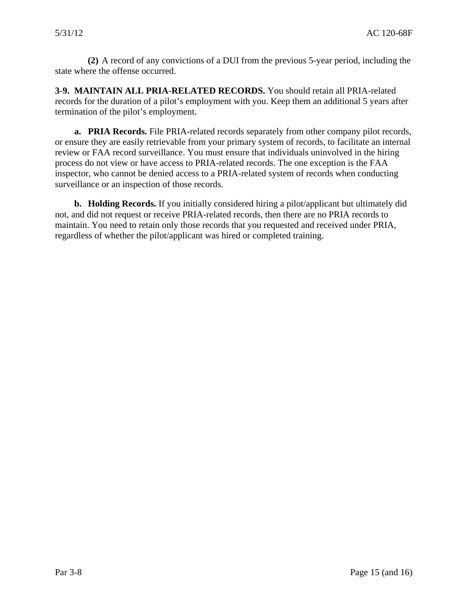<span id="page-17-0"></span>**(2)** A record of any convictions of a DUI from the previous 5-year period, including the state where the offense occurred.

**3-9. MAINTAIN ALL PRIA-RELATED RECORDS.** You should retain all PRIA-related records for the duration of a pilot's employment with you. Keep them an additional 5 years after termination of the pilot's employment.

**a. PRIA Records.** File PRIA-related records separately from other company pilot records, or ensure they are easily retrievable from your primary system of records, to facilitate an internal review or FAA record surveillance. You must ensure that individuals uninvolved in the hiring process do not view or have access to PRIA-related records. The one exception is the FAA inspector, who cannot be denied access to a PRIA-related system of records when conducting surveillance or an inspection of those records.

**b. Holding Records.** If you initially considered hiring a pilot/applicant but ultimately did not, and did not request or receive PRIA-related records, then there are no PRIA records to maintain. You need to retain only those records that you requested and received under PRIA, regardless of whether the pilot/applicant was hired or completed training.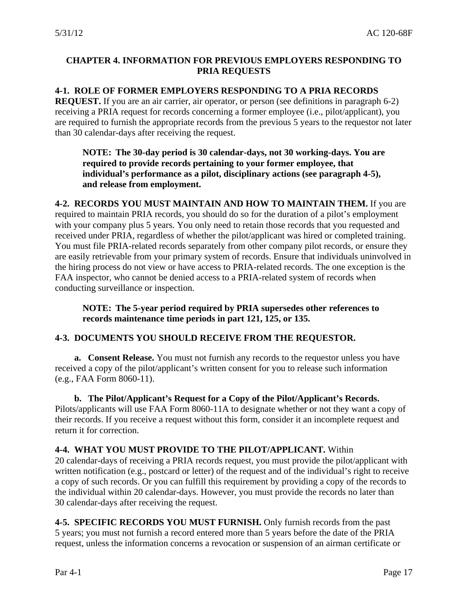# <span id="page-18-0"></span>**CHAPTER 4. INFORMATION FOR PREVIOUS EMPLOYERS RESPONDING TO PRIA REQUESTS**

# **4-1. ROLE OF FORMER EMPLOYERS RESPONDING TO A PRIA RECORDS**

**REQUEST.** If you are an air carrier, air operator, or person (see definitions in paragraph 6-2) receiving a PRIA request for records concerning a former employee (i.e., pilot/applicant), you are required to furnish the appropriate records from the previous 5 years to the requestor not later than 30 calendar-days after receiving the request.

**NOTE: The 30-day period is 30 calendar-days, not 30 working-days. You are required to provide records pertaining to your former employee, that individual's performance as a pilot, disciplinary actions (see paragraph 4-5), and release from employment.** 

**4-2. RECORDS YOU MUST MAINTAIN AND HOW TO MAINTAIN THEM.** If you are required to maintain PRIA records, you should do so for the duration of a pilot's employment with your company plus 5 years. You only need to retain those records that you requested and received under PRIA, regardless of whether the pilot/applicant was hired or completed training. You must file PRIA-related records separately from other company pilot records, or ensure they are easily retrievable from your primary system of records. Ensure that individuals uninvolved in the hiring process do not view or have access to PRIA-related records. The one exception is the FAA inspector, who cannot be denied access to a PRIA-related system of records when conducting surveillance or inspection.

**NOTE: The 5-year period required by PRIA supersedes other references to records maintenance time periods in part 121, 125, or 135.** 

# **4-3. DOCUMENTS YOU SHOULD RECEIVE FROM THE REQUESTOR.**

**a. Consent Release.** You must not furnish any records to the requestor unless you have received a copy of the pilot/applicant's written consent for you to release such information (e.g., FAA Form 8060-11).

**b. The Pilot/Applicant's Request for a Copy of the Pilot/Applicant's Records.**  Pilots/applicants will use FAA Form 8060-11A to designate whether or not they want a copy of their records. If you receive a request without this form, consider it an incomplete request and return it for correction.

## **4-4. WHAT YOU MUST PROVIDE TO THE PILOT/APPLICANT.** Within

20 calendar-days of receiving a PRIA records request, you must provide the pilot/applicant with written notification (e.g., postcard or letter) of the request and of the individual's right to receive a copy of such records. Or you can fulfill this requirement by providing a copy of the records to the individual within 20 calendar-days. However, you must provide the records no later than 30 calendar-days after receiving the request.

**4-5. SPECIFIC RECORDS YOU MUST FURNISH.** Only furnish records from the past 5 years; you must not furnish a record entered more than 5 years before the date of the PRIA request, unless the information concerns a revocation or suspension of an airman certificate or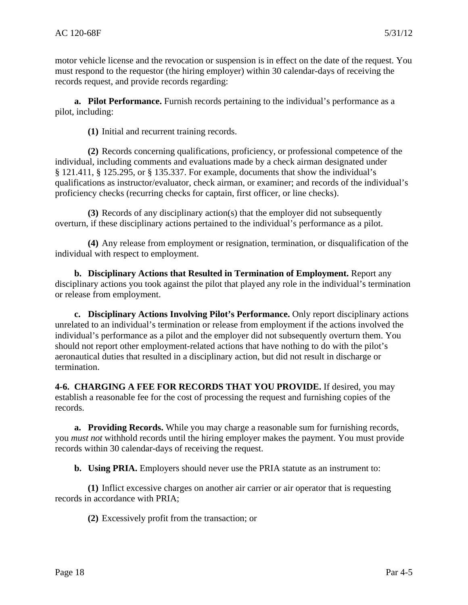<span id="page-19-0"></span>motor vehicle license and the revocation or suspension is in effect on the date of the request. You must respond to the requestor (the hiring employer) within 30 calendar-days of receiving the records request, and provide records regarding:

**a. Pilot Performance.** Furnish records pertaining to the individual's performance as a pilot, including:

**(1)** Initial and recurrent training records.

**(2)** Records concerning qualifications, proficiency, or professional competence of the individual, including comments and evaluations made by a check airman designated under § 121.411, § 125.295, or § 135.337. For example, documents that show the individual's qualifications as instructor/evaluator, check airman, or examiner; and records of the individual's proficiency checks (recurring checks for captain, first officer, or line checks).

**(3)** Records of any disciplinary action(s) that the employer did not subsequently overturn, if these disciplinary actions pertained to the individual's performance as a pilot.

**(4)** Any release from employment or resignation, termination, or disqualification of the individual with respect to employment.

**b. Disciplinary Actions that Resulted in Termination of Employment.** Report any disciplinary actions you took against the pilot that played any role in the individual's termination or release from employment.

**c. Disciplinary Actions Involving Pilot's Performance.** Only report disciplinary actions unrelated to an individual's termination or release from employment if the actions involved the individual's performance as a pilot and the employer did not subsequently overturn them. You should not report other employment-related actions that have nothing to do with the pilot's aeronautical duties that resulted in a disciplinary action, but did not result in discharge or termination.

**4-6. CHARGING A FEE FOR RECORDS THAT YOU PROVIDE.** If desired, you may establish a reasonable fee for the cost of processing the request and furnishing copies of the records.

**a. Providing Records.** While you may charge a reasonable sum for furnishing records, you *must not* withhold records until the hiring employer makes the payment. You must provide records within 30 calendar-days of receiving the request.

**b. Using PRIA.** Employers should never use the PRIA statute as an instrument to:

**(1)** Inflict excessive charges on another air carrier or air operator that is requesting records in accordance with PRIA;

**(2)** Excessively profit from the transaction; or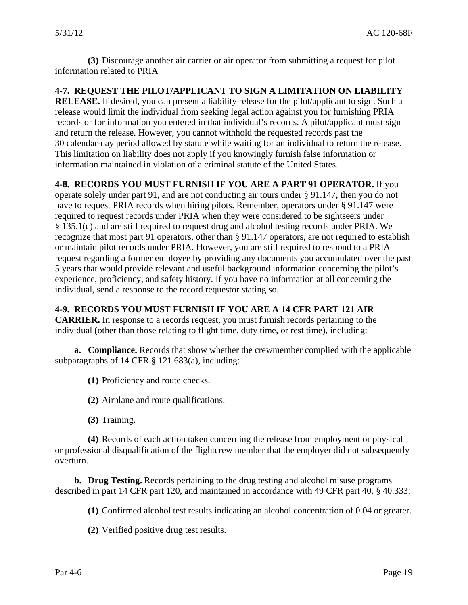<span id="page-20-0"></span>**(3)** Discourage another air carrier or air operator from submitting a request for pilot information related to PRIA

**4-7. REQUEST THE PILOT/APPLICANT TO SIGN A LIMITATION ON LIABILITY RELEASE.** If desired, you can present a liability release for the pilot/applicant to sign. Such a release would limit the individual from seeking legal action against you for furnishing PRIA records or for information you entered in that individual's records. A pilot/applicant must sign and return the release. However, you cannot withhold the requested records past the 30 calendar-day period allowed by statute while waiting for an individual to return the release. This limitation on liability does not apply if you knowingly furnish false information or information maintained in violation of a criminal statute of the United States.

# **4-8. RECORDS YOU MUST FURNISH IF YOU ARE A PART 91 OPERATOR.** If you

operate solely under part 91, and are not conducting air tours under § 91.147, then you do not have to request PRIA records when hiring pilots. Remember, operators under § 91.147 were required to request records under PRIA when they were considered to be sightseers under § 135.1(c) and are still required to request drug and alcohol testing records under PRIA. We recognize that most part 91 operators, other than § 91.147 operators, are not required to establish or maintain pilot records under PRIA. However, you are still required to respond to a PRIA request regarding a former employee by providing any documents you accumulated over the past 5 years that would provide relevant and useful background information concerning the pilot's experience, proficiency, and safety history. If you have no information at all concerning the individual, send a response to the record requestor stating so.

# **4-9. RECORDS YOU MUST FURNISH IF YOU ARE A 14 CFR PART 121 AIR**

**CARRIER.** In response to a records request, you must furnish records pertaining to the individual (other than those relating to flight time, duty time, or rest time), including:

**a. Compliance.** Records that show whether the crewmember complied with the applicable subparagraphs of 14 CFR  $\S$  121.683(a), including:

**(1)** Proficiency and route checks.

**(2)** Airplane and route qualifications.

**(3)** Training.

**(4)** Records of each action taken concerning the release from employment or physical or professional disqualification of the flightcrew member that the employer did not subsequently overturn.

**b. Drug Testing.** Records pertaining to the drug testing and alcohol misuse programs described in part 14 CFR part 120, and maintained in accordance with 49 CFR part 40, § 40.333:

**(1)** Confirmed alcohol test results indicating an alcohol concentration of 0.04 or greater.

**(2)** Verified positive drug test results.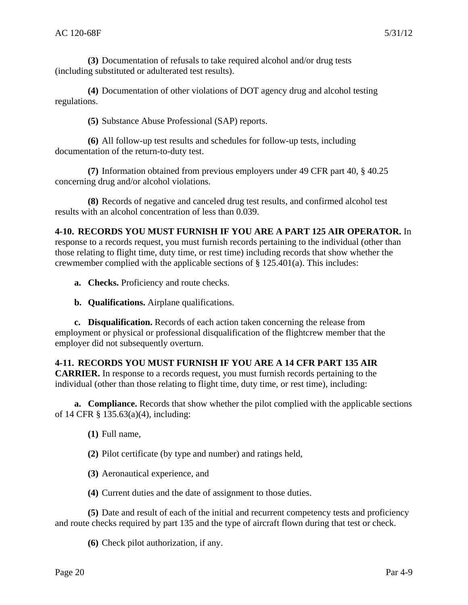<span id="page-21-0"></span>**(3)** Documentation of refusals to take required alcohol and/or drug tests (including substituted or adulterated test results).

**(4)** Documentation of other violations of DOT agency drug and alcohol testing regulations.

**(5)** Substance Abuse Professional (SAP) reports.

**(6)** All follow-up test results and schedules for follow-up tests, including documentation of the return-to-duty test.

**(7)** Information obtained from previous employers under 49 CFR part 40, § 40.25 concerning drug and/or alcohol violations.

**(8)** Records of negative and canceled drug test results, and confirmed alcohol test results with an alcohol concentration of less than 0.039.

# **4-10. RECORDS YOU MUST FURNISH IF YOU ARE A PART 125 AIR OPERATOR.** In

response to a records request, you must furnish records pertaining to the individual (other than those relating to flight time, duty time, or rest time) including records that show whether the crewmember complied with the applicable sections of § 125.401(a). This includes:

- **a. Checks.** Proficiency and route checks.
- **b. Qualifications.** Airplane qualifications.

**c. Disqualification.** Records of each action taken concerning the release from employment or physical or professional disqualification of the flightcrew member that the employer did not subsequently overturn.

## **4-11. RECORDS YOU MUST FURNISH IF YOU ARE A 14 CFR PART 135 AIR**

**CARRIER.** In response to a records request, you must furnish records pertaining to the individual (other than those relating to flight time, duty time, or rest time), including:

**a. Compliance.** Records that show whether the pilot complied with the applicable sections of 14 CFR § 135.63(a)(4), including:

**(1)** Full name,

**(2)** Pilot certificate (by type and number) and ratings held,

**(3)** Aeronautical experience, and

**(4)** Current duties and the date of assignment to those duties.

**(5)** Date and result of each of the initial and recurrent competency tests and proficiency and route checks required by part 135 and the type of aircraft flown during that test or check.

**(6)** Check pilot authorization, if any.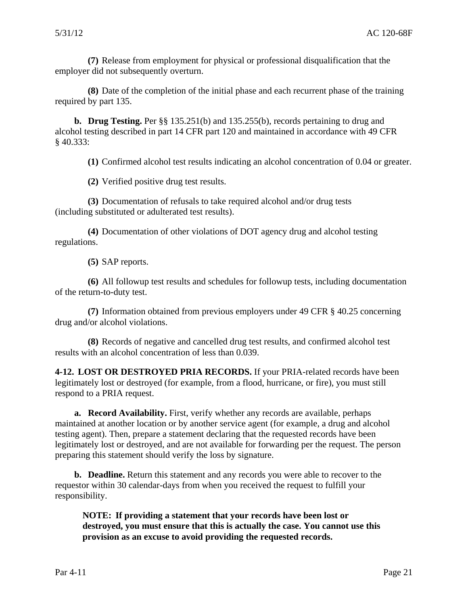<span id="page-22-0"></span>**(7)** Release from employment for physical or professional disqualification that the employer did not subsequently overturn.

**(8)** Date of the completion of the initial phase and each recurrent phase of the training required by part 135.

**b. Drug Testing.** Per §§ 135.251(b) and 135.255(b), records pertaining to drug and alcohol testing described in part 14 CFR part 120 and maintained in accordance with 49 CFR § 40.333:

**(1)** Confirmed alcohol test results indicating an alcohol concentration of 0.04 or greater.

**(2)** Verified positive drug test results.

**(3)** Documentation of refusals to take required alcohol and/or drug tests (including substituted or adulterated test results).

**(4)** Documentation of other violations of DOT agency drug and alcohol testing regulations.

**(5)** SAP reports.

**(6)** All followup test results and schedules for followup tests, including documentation of the return-to-duty test.

**(7)** Information obtained from previous employers under 49 CFR § 40.25 concerning drug and/or alcohol violations.

**(8)** Records of negative and cancelled drug test results, and confirmed alcohol test results with an alcohol concentration of less than 0.039.

**4-12. LOST OR DESTROYED PRIA RECORDS.** If your PRIA-related records have been legitimately lost or destroyed (for example, from a flood, hurricane, or fire), you must still respond to a PRIA request.

**a. Record Availability.** First, verify whether any records are available, perhaps maintained at another location or by another service agent (for example, a drug and alcohol testing agent). Then, prepare a statement declaring that the requested records have been legitimately lost or destroyed, and are not available for forwarding per the request. The person preparing this statement should verify the loss by signature.

**b. Deadline.** Return this statement and any records you were able to recover to the requestor within 30 calendar-days from when you received the request to fulfill your responsibility.

**NOTE: If providing a statement that your records have been lost or destroyed, you must ensure that this is actually the case. You cannot use this provision as an excuse to avoid providing the requested records.**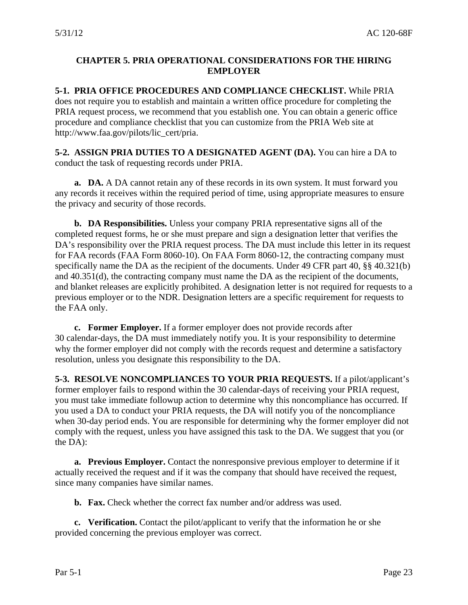# <span id="page-23-0"></span>**CHAPTER 5. PRIA OPERATIONAL CONSIDERATIONS FOR THE HIRING EMPLOYER**

**5-1. PRIA OFFICE PROCEDURES AND COMPLIANCE CHECKLIST.** While PRIA does not require you to establish and maintain a written office procedure for completing the PRIA request process, we recommend that you establish one. You can obtain a generic office procedure and compliance checklist that you can customize from the PRIA Web site at http://www.faa.gov/pilots/lic\_cert/pria.

**5-2. ASSIGN PRIA DUTIES TO A DESIGNATED AGENT (DA).** You can hire a DA to conduct the task of requesting records under PRIA.

**a. DA.** A DA cannot retain any of these records in its own system. It must forward you any records it receives within the required period of time, using appropriate measures to ensure the privacy and security of those records.

**b. DA Responsibilities.** Unless your company PRIA representative signs all of the completed request forms, he or she must prepare and sign a designation letter that verifies the DA's responsibility over the PRIA request process. The DA must include this letter in its request for FAA records (FAA Form 8060-10). On FAA Form 8060-12, the contracting company must specifically name the DA as the recipient of the documents. Under 49 CFR part 40, §§ 40.321(b) and 40.351(d), the contracting company must name the DA as the recipient of the documents, and blanket releases are explicitly prohibited. A designation letter is not required for requests to a previous employer or to the NDR. Designation letters are a specific requirement for requests to the FAA only.

**c. Former Employer.** If a former employer does not provide records after 30 calendar-days, the DA must immediately notify you. It is your responsibility to determine why the former employer did not comply with the records request and determine a satisfactory resolution, unless you designate this responsibility to the DA.

**5-3. RESOLVE NONCOMPLIANCES TO YOUR PRIA REQUESTS.** If a pilot/applicant's former employer fails to respond within the 30 calendar-days of receiving your PRIA request, you must take immediate followup action to determine why this noncompliance has occurred. If you used a DA to conduct your PRIA requests, the DA will notify you of the noncompliance when 30-day period ends. You are responsible for determining why the former employer did not comply with the request, unless you have assigned this task to the DA. We suggest that you (or the DA):

**a. Previous Employer.** Contact the nonresponsive previous employer to determine if it actually received the request and if it was the company that should have received the request, since many companies have similar names.

**b. Fax.** Check whether the correct fax number and/or address was used.

**c. Verification.** Contact the pilot/applicant to verify that the information he or she provided concerning the previous employer was correct.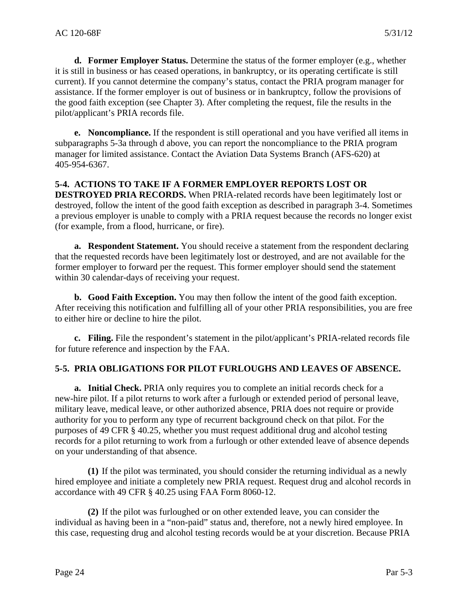<span id="page-24-0"></span>**d. Former Employer Status.** Determine the status of the former employer (e.g., whether it is still in business or has ceased operations, in bankruptcy, or its operating certificate is still current). If you cannot determine the company's status, contact the PRIA program manager for assistance. If the former employer is out of business or in bankruptcy, follow the provisions of the good faith exception (see Chapter 3). After completing the request, file the results in the pilot/applicant's PRIA records file.

**e. Noncompliance.** If the respondent is still operational and you have verified all items in subparagraphs 5-3a through d above, you can report the noncompliance to the PRIA program manager for limited assistance. Contact the Aviation Data Systems Branch (AFS-620) at 405-954-6367.

## **5-4. ACTIONS TO TAKE IF A FORMER EMPLOYER REPORTS LOST OR**

**DESTROYED PRIA RECORDS.** When PRIA-related records have been legitimately lost or destroyed, follow the intent of the good faith exception as described in paragraph 3-4. Sometimes a previous employer is unable to comply with a PRIA request because the records no longer exist (for example, from a flood, hurricane, or fire).

**a. Respondent Statement.** You should receive a statement from the respondent declaring that the requested records have been legitimately lost or destroyed, and are not available for the former employer to forward per the request. This former employer should send the statement within 30 calendar-days of receiving your request.

**b. Good Faith Exception.** You may then follow the intent of the good faith exception. After receiving this notification and fulfilling all of your other PRIA responsibilities, you are free to either hire or decline to hire the pilot.

**c. Filing.** File the respondent's statement in the pilot/applicant's PRIA-related records file for future reference and inspection by the FAA.

## **5-5. PRIA OBLIGATIONS FOR PILOT FURLOUGHS AND LEAVES OF ABSENCE.**

**a. Initial Check.** PRIA only requires you to complete an initial records check for a new-hire pilot. If a pilot returns to work after a furlough or extended period of personal leave, military leave, medical leave, or other authorized absence, PRIA does not require or provide authority for you to perform any type of recurrent background check on that pilot. For the purposes of 49 CFR § 40.25, whether you must request additional drug and alcohol testing records for a pilot returning to work from a furlough or other extended leave of absence depends on your understanding of that absence.

**(1)** If the pilot was terminated, you should consider the returning individual as a newly hired employee and initiate a completely new PRIA request. Request drug and alcohol records in accordance with 49 CFR § 40.25 using FAA Form 8060-12.

**(2)** If the pilot was furloughed or on other extended leave, you can consider the individual as having been in a "non-paid" status and, therefore, not a newly hired employee. In this case, requesting drug and alcohol testing records would be at your discretion. Because PRIA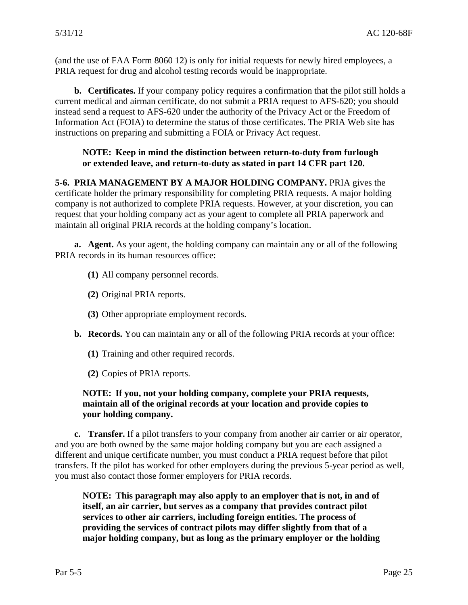<span id="page-25-0"></span>(and the use of FAA Form 8060 12) is only for initial requests for newly hired employees, a PRIA request for drug and alcohol testing records would be inappropriate.

**b. Certificates.** If your company policy requires a confirmation that the pilot still holds a current medical and airman certificate, do not submit a PRIA request to AFS-620; you should instead send a request to AFS-620 under the authority of the Privacy Act or the Freedom of Information Act (FOIA) to determine the status of those certificates. The PRIA Web site has instructions on preparing and submitting a FOIA or Privacy Act request.

## **NOTE: Keep in mind the distinction between return-to-duty from furlough or extended leave, and return-to-duty as stated in part 14 CFR part 120.**

**5-6. PRIA MANAGEMENT BY A MAJOR HOLDING COMPANY.** PRIA gives the certificate holder the primary responsibility for completing PRIA requests. A major holding company is not authorized to complete PRIA requests. However, at your discretion, you can request that your holding company act as your agent to complete all PRIA paperwork and maintain all original PRIA records at the holding company's location.

**a. Agent.** As your agent, the holding company can maintain any or all of the following PRIA records in its human resources office:

- **(1)** All company personnel records.
- **(2)** Original PRIA reports.
- **(3)** Other appropriate employment records.
- **b. Records.** You can maintain any or all of the following PRIA records at your office:
	- **(1)** Training and other required records.
	- **(2)** Copies of PRIA reports.

#### **NOTE: If you, not your holding company, complete your PRIA requests, maintain all of the original records at your location and provide copies to your holding company.**

**c. Transfer.** If a pilot transfers to your company from another air carrier or air operator, and you are both owned by the same major holding company but you are each assigned a different and unique certificate number, you must conduct a PRIA request before that pilot transfers. If the pilot has worked for other employers during the previous 5-year period as well, you must also contact those former employers for PRIA records.

**NOTE: This paragraph may also apply to an employer that is not, in and of itself, an air carrier, but serves as a company that provides contract pilot services to other air carriers, including foreign entities. The process of providing the services of contract pilots may differ slightly from that of a major holding company, but as long as the primary employer or the holding**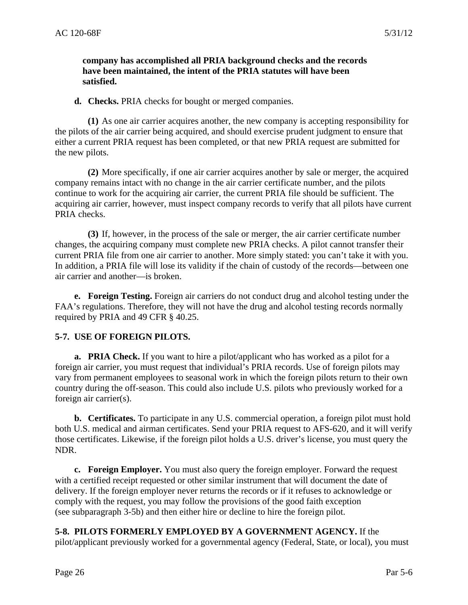#### <span id="page-26-0"></span>**company has accomplished all PRIA background checks and the records have been maintained, the intent of the PRIA statutes will have been satisfied.**

**d. Checks.** PRIA checks for bought or merged companies.

**(1)** As one air carrier acquires another, the new company is accepting responsibility for the pilots of the air carrier being acquired, and should exercise prudent judgment to ensure that either a current PRIA request has been completed, or that new PRIA request are submitted for the new pilots.

**(2)** More specifically, if one air carrier acquires another by sale or merger, the acquired company remains intact with no change in the air carrier certificate number, and the pilots continue to work for the acquiring air carrier, the current PRIA file should be sufficient. The acquiring air carrier, however, must inspect company records to verify that all pilots have current PRIA checks.

**(3)** If, however, in the process of the sale or merger, the air carrier certificate number changes, the acquiring company must complete new PRIA checks. A pilot cannot transfer their current PRIA file from one air carrier to another. More simply stated: you can't take it with you. In addition, a PRIA file will lose its validity if the chain of custody of the records—between one air carrier and another—is broken.

**e. Foreign Testing.** Foreign air carriers do not conduct drug and alcohol testing under the FAA's regulations. Therefore, they will not have the drug and alcohol testing records normally required by PRIA and 49 CFR § 40.25.

## **5-7. USE OF FOREIGN PILOTS.**

**a. PRIA Check.** If you want to hire a pilot/applicant who has worked as a pilot for a foreign air carrier, you must request that individual's PRIA records. Use of foreign pilots may vary from permanent employees to seasonal work in which the foreign pilots return to their own country during the off-season. This could also include U.S. pilots who previously worked for a foreign air carrier(s).

**b. Certificates.** To participate in any U.S. commercial operation, a foreign pilot must hold both U.S. medical and airman certificates. Send your PRIA request to AFS-620, and it will verify those certificates. Likewise, if the foreign pilot holds a U.S. driver's license, you must query the NDR.

**c. Foreign Employer.** You must also query the foreign employer. Forward the request with a certified receipt requested or other similar instrument that will document the date of delivery. If the foreign employer never returns the records or if it refuses to acknowledge or comply with the request, you may follow the provisions of the good faith exception (see subparagraph 3-5b) and then either hire or decline to hire the foreign pilot.

**5-8. PILOTS FORMERLY EMPLOYED BY A GOVERNMENT AGENCY.** If the pilot/applicant previously worked for a governmental agency (Federal, State, or local), you must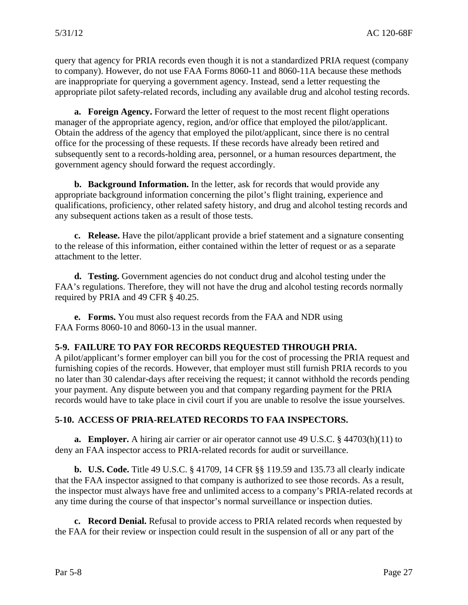<span id="page-27-0"></span>query that agency for PRIA records even though it is not a standardized PRIA request (company to company). However, do not use FAA Forms 8060-11 and 8060-11A because these methods are inappropriate for querying a government agency. Instead, send a letter requesting the appropriate pilot safety-related records, including any available drug and alcohol testing records.

**a. Foreign Agency.** Forward the letter of request to the most recent flight operations manager of the appropriate agency, region, and/or office that employed the pilot/applicant. Obtain the address of the agency that employed the pilot/applicant, since there is no central office for the processing of these requests. If these records have already been retired and subsequently sent to a records-holding area, personnel, or a human resources department, the government agency should forward the request accordingly.

**b. Background Information.** In the letter, ask for records that would provide any appropriate background information concerning the pilot's flight training, experience and qualifications, proficiency, other related safety history, and drug and alcohol testing records and any subsequent actions taken as a result of those tests.

**c. Release.** Have the pilot/applicant provide a brief statement and a signature consenting to the release of this information, either contained within the letter of request or as a separate attachment to the letter.

**d. Testing.** Government agencies do not conduct drug and alcohol testing under the FAA's regulations. Therefore, they will not have the drug and alcohol testing records normally required by PRIA and 49 CFR § 40.25.

**e. Forms.** You must also request records from the FAA and NDR using FAA Forms 8060-10 and 8060-13 in the usual manner.

## **5-9. FAILURE TO PAY FOR RECORDS REQUESTED THROUGH PRIA.**

A pilot/applicant's former employer can bill you for the cost of processing the PRIA request and furnishing copies of the records. However, that employer must still furnish PRIA records to you no later than 30 calendar-days after receiving the request; it cannot withhold the records pending your payment. Any dispute between you and that company regarding payment for the PRIA records would have to take place in civil court if you are unable to resolve the issue yourselves.

# **5-10. ACCESS OF PRIA-RELATED RECORDS TO FAA INSPECTORS.**

**a. Employer.** A hiring air carrier or air operator cannot use 49 U.S.C. § 44703(h)(11) to deny an FAA inspector access to PRIA-related records for audit or surveillance.

**b. U.S. Code.** Title 49 U.S.C. § 41709, 14 CFR §§ 119.59 and 135.73 all clearly indicate that the FAA inspector assigned to that company is authorized to see those records. As a result, the inspector must always have free and unlimited access to a company's PRIA-related records at any time during the course of that inspector's normal surveillance or inspection duties.

**c. Record Denial.** Refusal to provide access to PRIA related records when requested by the FAA for their review or inspection could result in the suspension of all or any part of the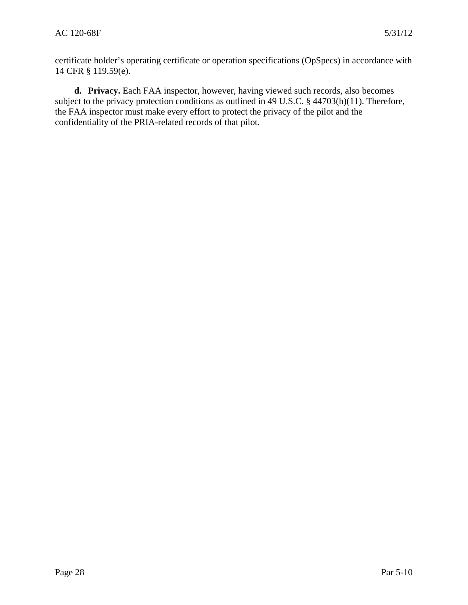certificate holder's operating certificate or operation specifications (OpSpecs) in accordance with 14 CFR § 119.59(e).

**d. Privacy.** Each FAA inspector, however, having viewed such records, also becomes subject to the privacy protection conditions as outlined in 49 U.S.C. § 44703(h)(11). Therefore, the FAA inspector must make every effort to protect the privacy of the pilot and the confidentiality of the PRIA-related records of that pilot.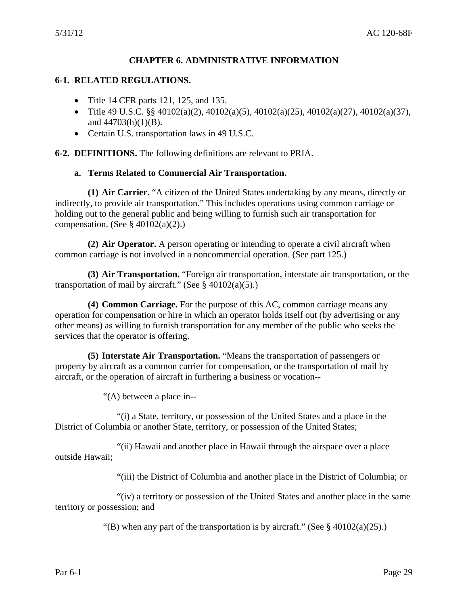#### **CHAPTER 6. ADMINISTRATIVE INFORMATION**

#### <span id="page-29-0"></span>**6-1. RELATED REGULATIONS.**

- Title 14 CFR parts 121, 125, and 135.
- Title 49 U.S.C. §§ 40102(a)(2), 40102(a)(5), 40102(a)(25), 40102(a)(27), 40102(a)(37), and  $44703(h)(1)(B)$ .
- Certain U.S. transportation laws in 49 U.S.C.

**6-2. DEFINITIONS.** The following definitions are relevant to PRIA.

#### **a. Terms Related to Commercial Air Transportation.**

**(1) Air Carrier.** "A citizen of the United States undertaking by any means, directly or indirectly, to provide air transportation." This includes operations using common carriage or holding out to the general public and being willing to furnish such air transportation for compensation. (See  $\S$  40102(a)(2).)

**(2) Air Operator.** A person operating or intending to operate a civil aircraft when common carriage is not involved in a noncommercial operation. (See part 125.)

**(3) Air Transportation.** "Foreign air transportation, interstate air transportation, or the transportation of mail by aircraft." (See  $\S$  40102(a)(5).)

**(4) Common Carriage.** For the purpose of this AC, common carriage means any operation for compensation or hire in which an operator holds itself out (by advertising or any other means) as willing to furnish transportation for any member of the public who seeks the services that the operator is offering.

**(5) Interstate Air Transportation.** "Means the transportation of passengers or property by aircraft as a common carrier for compensation, or the transportation of mail by aircraft, or the operation of aircraft in furthering a business or vocation--

"(A) between a place in--

"(i) a State, territory, or possession of the United States and a place in the District of Columbia or another State, territory, or possession of the United States;

"(ii) Hawaii and another place in Hawaii through the airspace over a place outside Hawaii;

"(iii) the District of Columbia and another place in the District of Columbia; or

"(iv) a territory or possession of the United States and another place in the same territory or possession; and

"(B) when any part of the transportation is by aircraft." (See  $\S$  40102(a)(25).)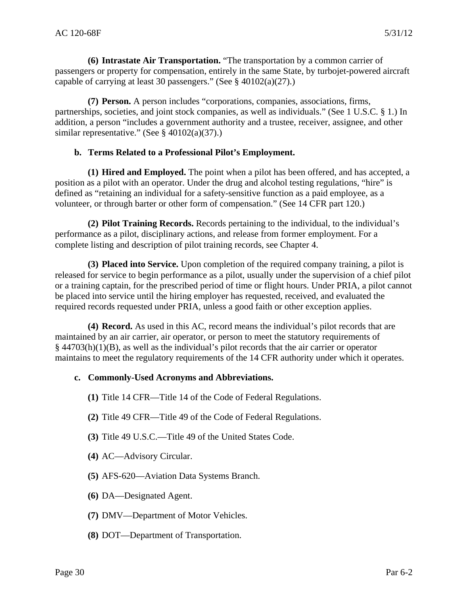**(6) Intrastate Air Transportation.** "The transportation by a common carrier of passengers or property for compensation, entirely in the same State, by turbojet-powered aircraft capable of carrying at least 30 passengers." (See § 40102(a)(27).)

**(7) Person.** A person includes "corporations, companies, associations, firms, partnerships, societies, and joint stock companies, as well as individuals." (See 1 U.S.C. § 1.) In addition, a person "includes a government authority and a trustee, receiver, assignee, and other similar representative." (See § 40102(a)(37).)

#### **b. Terms Related to a Professional Pilot's Employment.**

**(1) Hired and Employed.** The point when a pilot has been offered, and has accepted, a position as a pilot with an operator. Under the drug and alcohol testing regulations, "hire" is defined as "retaining an individual for a safety-sensitive function as a paid employee, as a volunteer, or through barter or other form of compensation." (See 14 CFR part 120.)

**(2) Pilot Training Records.** Records pertaining to the individual, to the individual's performance as a pilot, disciplinary actions, and release from former employment. For a complete listing and description of pilot training records, see Chapter 4.

**(3) Placed into Service.** Upon completion of the required company training, a pilot is released for service to begin performance as a pilot, usually under the supervision of a chief pilot or a training captain, for the prescribed period of time or flight hours. Under PRIA, a pilot cannot be placed into service until the hiring employer has requested, received, and evaluated the required records requested under PRIA, unless a good faith or other exception applies.

**(4) Record.** As used in this AC, record means the individual's pilot records that are maintained by an air carrier, air operator, or person to meet the statutory requirements of § 44703(h)(1)(B), as well as the individual's pilot records that the air carrier or operator maintains to meet the regulatory requirements of the 14 CFR authority under which it operates.

## **c. Commonly-Used Acronyms and Abbreviations.**

- **(1)** Title 14 CFR—Title 14 of the Code of Federal Regulations.
- **(2)** Title 49 CFR—Title 49 of the Code of Federal Regulations.
- **(3)** Title 49 U.S.C.—Title 49 of the United States Code.
- **(4)** AC—Advisory Circular.
- **(5)** AFS-620—Aviation Data Systems Branch.
- **(6)** DA—Designated Agent.
- **(7)** DMV—Department of Motor Vehicles.
- **(8)** DOT—Department of Transportation.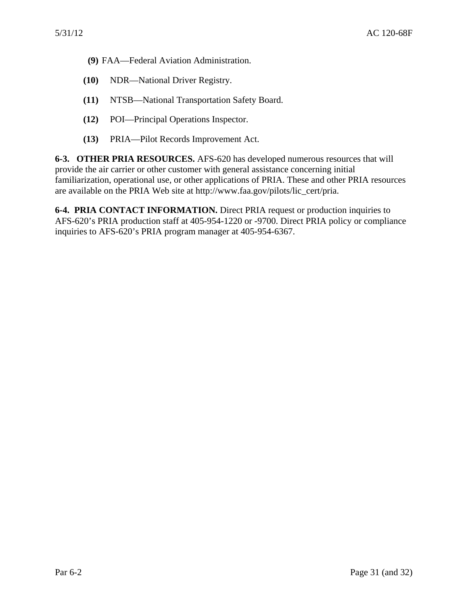- <span id="page-31-0"></span>**(9)** FAA—Federal Aviation Administration.
- **(10)** NDR—National Driver Registry.
- **(11)** NTSB—National Transportation Safety Board.
- **(12)** POI—Principal Operations Inspector.
- **(13)** PRIA—Pilot Records Improvement Act.

**6-3. OTHER PRIA RESOURCES.** AFS-620 has developed numerous resources that will provide the air carrier or other customer with general assistance concerning initial familiarization, operational use, or other applications of PRIA. These and other PRIA resources are available on the PRIA Web site at http://www.faa.gov/pilots/lic\_cert/pria.

**6-4. PRIA CONTACT INFORMATION.** Direct PRIA request or production inquiries to AFS-620's PRIA production staff at 405-954-1220 or -9700. Direct PRIA policy or compliance inquiries to AFS-620's PRIA program manager at 405-954-6367.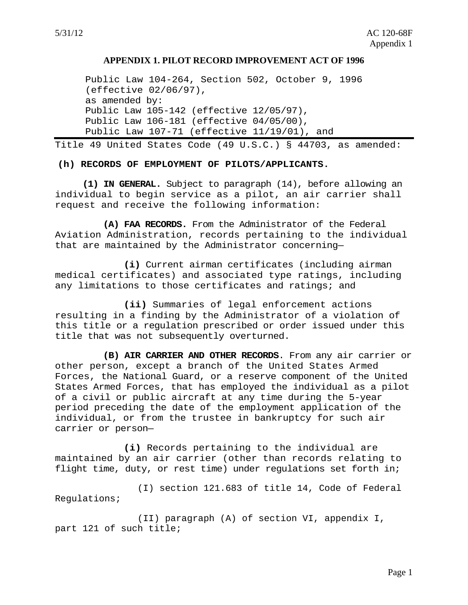#### **APPENDIX 1. PILOT RECORD IMPROVEMENT ACT OF 1996**

<span id="page-32-0"></span>Public Law 104-264, Section 502, October 9, 1996 (effective 02/06/97), as amended by: Public Law 105-142 (effective 12/05/97), Public Law 106-181 (effective 04/05/00), Public Law 107-71 (effective 11/19/01), and

Title 49 United States Code (49 U.S.C.) § 44703, as amended:

**(h) RECORDS OF EMPLOYMENT OF PILOTS/APPLICANTS.** 

**(1) IN GENERAL.** Subject to paragraph (14), before allowing an individual to begin service as a pilot, an air carrier shall request and receive the following information:

**(A) FAA RECORDS.** From the Administrator of the Federal Aviation Administration, records pertaining to the individual that are maintained by the Administrator concerning—

**(i)** Current airman certificates (including airman medical certificates) and associated type ratings, including any limitations to those certificates and ratings; and

**(ii)** Summaries of legal enforcement actions resulting in a finding by the Administrator of a violation of this title or a regulation prescribed or order issued under this title that was not subsequently overturned.

**(B) AIR CARRIER AND OTHER RECORDS**. From any air carrier or other person, except a branch of the United States Armed Forces, the National Guard, or a reserve component of the United States Armed Forces, that has employed the individual as a pilot of a civil or public aircraft at any time during the 5-year period preceding the date of the employment application of the individual, or from the trustee in bankruptcy for such air carrier or person—

**(i)** Records pertaining to the individual are maintained by an air carrier (other than records relating to flight time, duty, or rest time) under regulations set forth in;

(I) section 121.683 of title 14, Code of Federal Regulations;

(II) paragraph (A) of section VI, appendix I, part 121 of such title;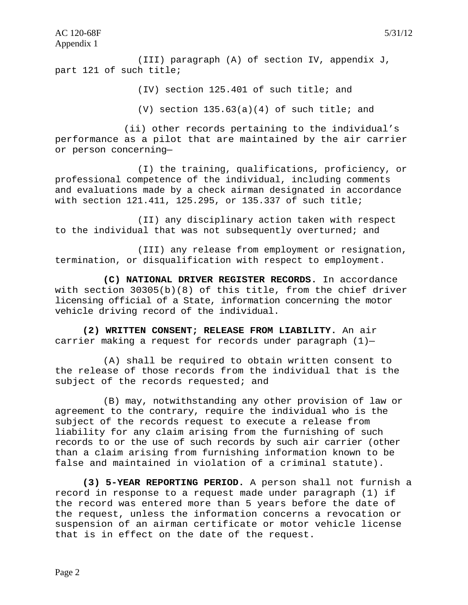(III) paragraph (A) of section IV, appendix J, part 121 of such title;

(IV) section 125.401 of such title; and

(V) section  $135.63(a)(4)$  of such title; and

(ii) other records pertaining to the individual's performance as a pilot that are maintained by the air carrier or person concerning—

(I) the training, qualifications, proficiency, or professional competence of the individual, including comments and evaluations made by a check airman designated in accordance with section 121.411, 125.295, or 135.337 of such title;

(II) any disciplinary action taken with respect to the individual that was not subsequently overturned; and

(III) any release from employment or resignation, termination, or disqualification with respect to employment.

**(C) NATIONAL DRIVER REGISTER RECORDS.** In accordance with section 30305(b)(8) of this title, from the chief driver licensing official of a State, information concerning the motor vehicle driving record of the individual.

**(2) WRITTEN CONSENT; RELEASE FROM LIABILITY.** An air carrier making a request for records under paragraph  $(1)$ -

(A) shall be required to obtain written consent to the release of those records from the individual that is the subject of the records requested; and

(B) may, notwithstanding any other provision of law or agreement to the contrary, require the individual who is the subject of the records request to execute a release from liability for any claim arising from the furnishing of such records to or the use of such records by such air carrier (other than a claim arising from furnishing information known to be false and maintained in violation of a criminal statute).

**(3) 5-YEAR REPORTING PERIOD.** A person shall not furnish a record in response to a request made under paragraph (1) if the record was entered more than 5 years before the date of the request, unless the information concerns a revocation or suspension of an airman certificate or motor vehicle license that is in effect on the date of the request.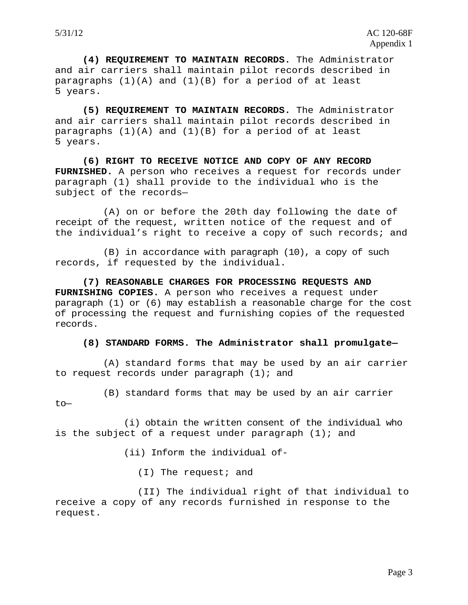**(4) REQUIREMENT TO MAINTAIN RECORDS.** The Administrator and air carriers shall maintain pilot records described in paragraphs (1)(A) and (1)(B) for a period of at least 5 years.

**(5) REQUIREMENT TO MAINTAIN RECORDS.** The Administrator and air carriers shall maintain pilot records described in paragraphs  $(1)(A)$  and  $(1)(B)$  for a period of at least 5 years.

**(6) RIGHT TO RECEIVE NOTICE AND COPY OF ANY RECORD FURNISHED.** A person who receives a request for records under paragraph (1) shall provide to the individual who is the subject of the records—

(A) on or before the 20th day following the date of receipt of the request, written notice of the request and of the individual's right to receive a copy of such records; and

(B) in accordance with paragraph (10), a copy of such records, if requested by the individual.

**(7) REASONABLE CHARGES FOR PROCESSING REQUESTS AND FURNISHING COPIES.** A person who receives a request under paragraph (1) or (6) may establish a reasonable charge for the cost of processing the request and furnishing copies of the requested records.

#### **(8) STANDARD FORMS. The Administrator shall promulgate—**

(A) standard forms that may be used by an air carrier to request records under paragraph (1); and

(B) standard forms that may be used by an air carrier to—

(i) obtain the written consent of the individual who is the subject of a request under paragraph  $(1)$ ; and

(ii) Inform the individual of-

(I) The request; and

(II) The individual right of that individual to receive a copy of any records furnished in response to the request.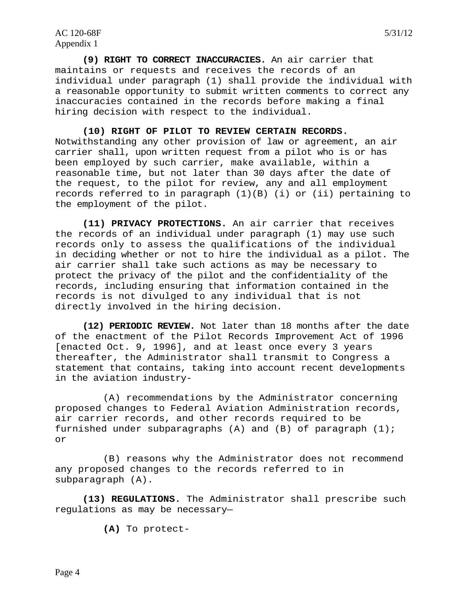**(9) RIGHT TO CORRECT INACCURACIES.** An air carrier that maintains or requests and receives the records of an individual under paragraph (1) shall provide the individual with a reasonable opportunity to submit written comments to correct any inaccuracies contained in the records before making a final hiring decision with respect to the individual.

**(10) RIGHT OF PILOT TO REVIEW CERTAIN RECORDS.** Notwithstanding any other provision of law or agreement, an air carrier shall, upon written request from a pilot who is or has been employed by such carrier, make available, within a reasonable time, but not later than 30 days after the date of the request, to the pilot for review, any and all employment records referred to in paragraph  $(1)(B)$  (i) or (ii) pertaining to the employment of the pilot.

**(11) PRIVACY PROTECTIONS.** An air carrier that receives the records of an individual under paragraph (1) may use such records only to assess the qualifications of the individual in deciding whether or not to hire the individual as a pilot. The air carrier shall take such actions as may be necessary to protect the privacy of the pilot and the confidentiality of the records, including ensuring that information contained in the records is not divulged to any individual that is not directly involved in the hiring decision.

**(12) PERIODIC REVIEW.** Not later than 18 months after the date of the enactment of the Pilot Records Improvement Act of 1996 [enacted Oct. 9, 1996], and at least once every 3 years thereafter, the Administrator shall transmit to Congress a statement that contains, taking into account recent developments in the aviation industry-

(A) recommendations by the Administrator concerning proposed changes to Federal Aviation Administration records, air carrier records, and other records required to be furnished under subparagraphs  $(A)$  and  $(B)$  of paragraph  $(1)$ ; or

(B) reasons why the Administrator does not recommend any proposed changes to the records referred to in subparagraph (A).

**(13) REGULATIONS.** The Administrator shall prescribe such regulations as may be necessary—

**(A)** To protect-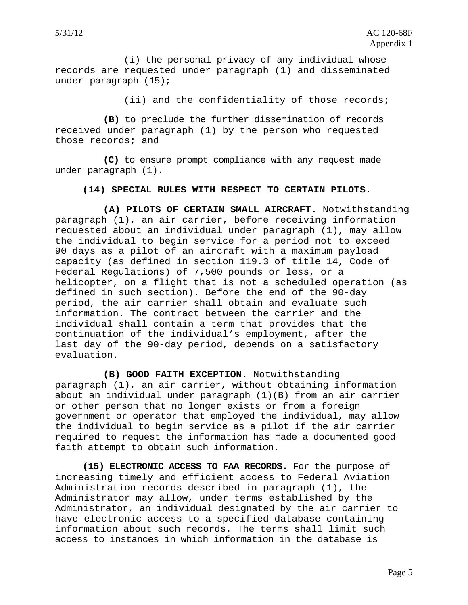(i) the personal privacy of any individual whose records are requested under paragraph (1) and disseminated under paragraph (15);

(ii) and the confidentiality of those records;

**(B)** to preclude the further dissemination of records received under paragraph (1) by the person who requested those records; and

**(C)** to ensure prompt compliance with any request made under paragraph (1).

#### **(14) SPECIAL RULES WITH RESPECT TO CERTAIN PILOTS.**

**(A) PILOTS OF CERTAIN SMALL AIRCRAFT.** Notwithstanding paragraph (1), an air carrier, before receiving information requested about an individual under paragraph (1), may allow the individual to begin service for a period not to exceed 90 days as a pilot of an aircraft with a maximum payload capacity (as defined in section 119.3 of title 14, Code of Federal Regulations) of 7,500 pounds or less, or a helicopter, on a flight that is not a scheduled operation (as defined in such section). Before the end of the 90-day period, the air carrier shall obtain and evaluate such information. The contract between the carrier and the individual shall contain a term that provides that the continuation of the individual's employment, after the last day of the 90-day period, depends on a satisfactory evaluation.

**(B) GOOD FAITH EXCEPTION.** Notwithstanding paragraph (1), an air carrier, without obtaining information about an individual under paragraph (1)(B) from an air carrier or other person that no longer exists or from a foreign government or operator that employed the individual, may allow the individual to begin service as a pilot if the air carrier required to request the information has made a documented good faith attempt to obtain such information.

**(15) ELECTRONIC ACCESS TO FAA RECORDS.** For the purpose of increasing timely and efficient access to Federal Aviation Administration records described in paragraph (1), the Administrator may allow, under terms established by the Administrator, an individual designated by the air carrier to have electronic access to a specified database containing information about such records. The terms shall limit such access to instances in which information in the database is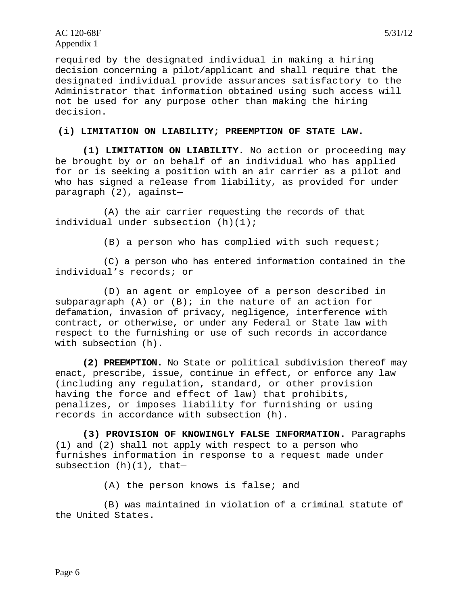AC 120-68F 5/31/12 Appendix 1

required by the designated individual in making a hiring decision concerning a pilot/applicant and shall require that the designated individual provide assurances satisfactory to the Administrator that information obtained using such access will not be used for any purpose other than making the hiring decision.

#### **(i) LIMITATION ON LIABILITY; PREEMPTION OF STATE LAW.**

**(1) LIMITATION ON LIABILITY.** No action or proceeding may be brought by or on behalf of an individual who has applied for or is seeking a position with an air carrier as a pilot and who has signed a release from liability, as provided for under paragraph (2), against**—** 

(A) the air carrier requesting the records of that individual under subsection (h)(1);

(B) a person who has complied with such request;

(C) a person who has entered information contained in the individual's records; or

(D) an agent or employee of a person described in subparagraph  $(A)$  or  $(B)$ ; in the nature of an action for defamation, invasion of privacy, negligence, interference with contract, or otherwise, or under any Federal or State law with respect to the furnishing or use of such records in accordance with subsection (h).

**(2) PREEMPTION.** No State or political subdivision thereof may enact, prescribe, issue, continue in effect, or enforce any law (including any regulation, standard, or other provision having the force and effect of law) that prohibits, penalizes, or imposes liability for furnishing or using records in accordance with subsection (h).

**(3) PROVISION OF KNOWINGLY FALSE INFORMATION.** Paragraphs (1) and (2) shall not apply with respect to a person who furnishes information in response to a request made under subsection  $(h)(1)$ , that-

(A) the person knows is false; and

(B) was maintained in violation of a criminal statute of the United States.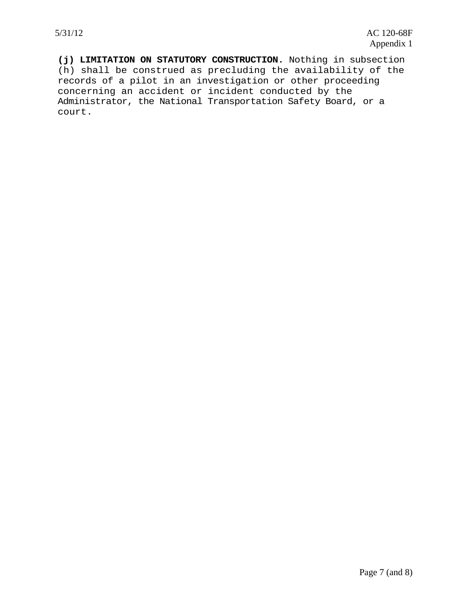**(j) LIMITATION ON STATUTORY CONSTRUCTION.** Nothing in subsection (h) shall be construed as precluding the availability of the records of a pilot in an investigation or other proceeding concerning an accident or incident conducted by the Administrator, the National Transportation Safety Board, or a court.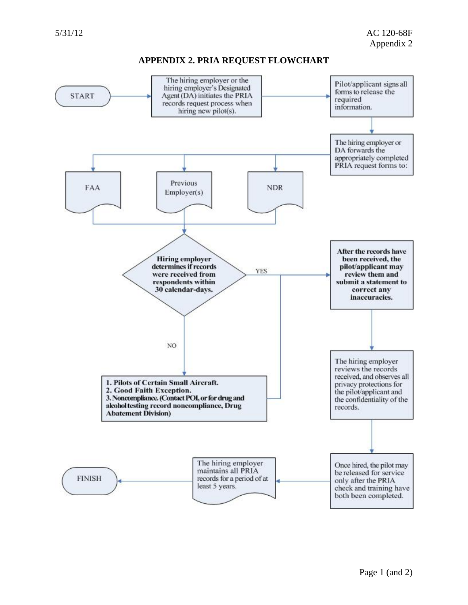#### **APPENDIX 2. PRIA REQUEST FLOWCHART**

<span id="page-39-0"></span>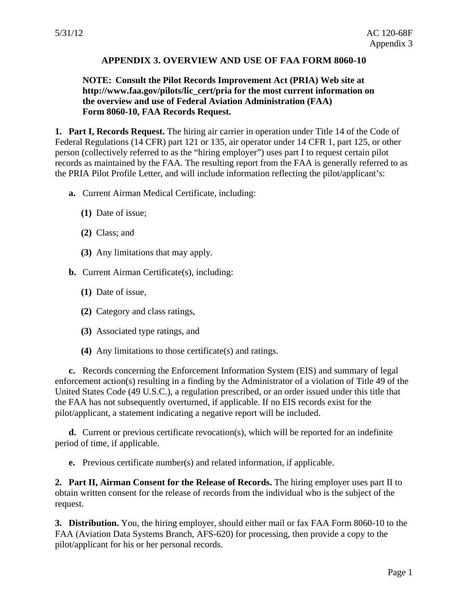## **APPENDIX 3. OVERVIEW AND USE OF FAA FORM 8060-10**

#### <span id="page-40-0"></span>**NOTE: Consult the Pilot Records Improvement Act (PRIA) Web site at http://www.faa.gov/pilots/lic\_cert/pria for the most current information on the overview and use of Federal Aviation Administration (FAA) Form 8060-10, FAA Records Request.**

**1. Part I, Records Request.** The hiring air carrier in operation under Title 14 of the Code of Federal Regulations (14 CFR) part 121 or 135, air operator under 14 CFR 1, part 125, or other person (collectively referred to as the "hiring employer") uses part I to request certain pilot records as maintained by the FAA. The resulting report from the FAA is generally referred to as the PRIA Pilot Profile Letter, and will include information reflecting the pilot/applicant's:

- **a.** Current Airman Medical Certificate, including:
	- **(1)** Date of issue;
	- **(2)** Class; and
	- **(3)** Any limitations that may apply.
- **b.** Current Airman Certificate(s), including:
	- **(1)** Date of issue,
	- **(2)** Category and class ratings,
	- **(3)** Associated type ratings, and
	- **(4)** Any limitations to those certificate(s) and ratings.

**c.** Records concerning the Enforcement Information System (EIS) and summary of legal enforcement action(s) resulting in a finding by the Administrator of a violation of Title 49 of the United States Code (49 U.S.C.), a regulation prescribed, or an order issued under this title that the FAA has not subsequently overturned, if applicable. If no EIS records exist for the pilot/applicant, a statement indicating a negative report will be included.

**d.** Current or previous certificate revocation(s), which will be reported for an indefinite period of time, if applicable.

**e.** Previous certificate number(s) and related information, if applicable.

**2. Part II, Airman Consent for the Release of Records.** The hiring employer uses part II to obtain written consent for the release of records from the individual who is the subject of the request.

**3. Distribution.** You, the hiring employer, should either mail or fax FAA Form 8060-10 to the FAA (Aviation Data Systems Branch, AFS-620) for processing, then provide a copy to the pilot/applicant for his or her personal records.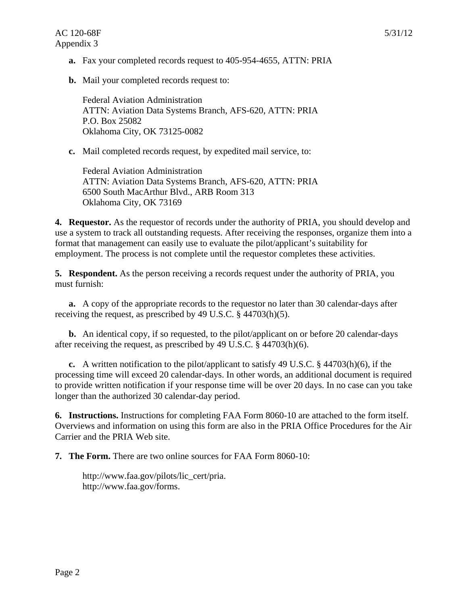**b.** Mail your completed records request to:

Federal Aviation Administration ATTN: Aviation Data Systems Branch, AFS-620, ATTN: PRIA P.O. Box 25082 Oklahoma City, OK 73125-0082

**c.** Mail completed records request, by expedited mail service, to:

Federal Aviation Administration ATTN: Aviation Data Systems Branch, AFS-620, ATTN: PRIA 6500 South MacArthur Blvd., ARB Room 313 Oklahoma City, OK 73169

**4. Requestor.** As the requestor of records under the authority of PRIA, you should develop and use a system to track all outstanding requests. After receiving the responses, organize them into a format that management can easily use to evaluate the pilot/applicant's suitability for employment. The process is not complete until the requestor completes these activities.

**5. Respondent.** As the person receiving a records request under the authority of PRIA, you must furnish:

**a.** A copy of the appropriate records to the requestor no later than 30 calendar-days after receiving the request, as prescribed by 49 U.S.C. § 44703(h)(5).

**b.** An identical copy, if so requested, to the pilot/applicant on or before 20 calendar-days after receiving the request, as prescribed by 49 U.S.C. § 44703(h)(6).

**c.** A written notification to the pilot/applicant to satisfy 49 U.S.C. § 44703(h)(6), if the processing time will exceed 20 calendar-days. In other words, an additional document is required to provide written notification if your response time will be over 20 days. In no case can you take longer than the authorized 30 calendar-day period.

**6. Instructions.** Instructions for completing FAA Form 8060-10 are attached to the form itself. Overviews and information on using this form are also in the PRIA Office Procedures for the Air Carrier and the PRIA Web site.

**7. The Form.** There are two online sources for FAA Form 8060-10:

http://www.faa.gov/pilots/lic\_cert/pria. http://www.faa.gov/forms.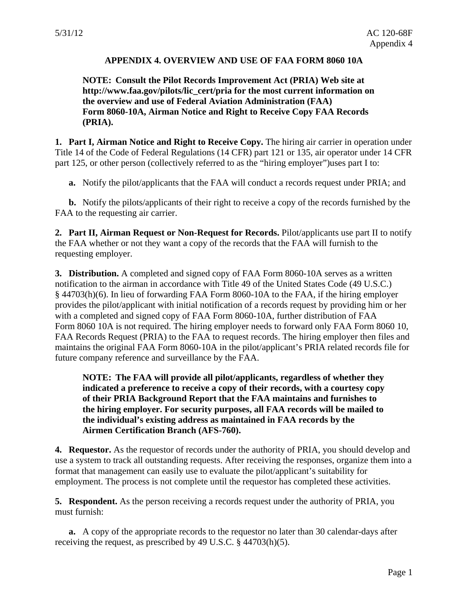#### **APPENDIX 4. OVERVIEW AND USE OF FAA FORM 8060 10A**

## <span id="page-42-0"></span>**NOTE: Consult the Pilot Records Improvement Act (PRIA) Web site at http://www.faa.gov/pilots/lic\_cert/pria for the most current information on the overview and use of Federal Aviation Administration (FAA) Form 8060-10A, Airman Notice and Right to Receive Copy FAA Records (PRIA).**

**1. Part I, Airman Notice and Right to Receive Copy.** The hiring air carrier in operation under Title 14 of the Code of Federal Regulations (14 CFR) part 121 or 135, air operator under 14 CFR part 125, or other person (collectively referred to as the "hiring employer")uses part I to:

**a.** Notify the pilot/applicants that the FAA will conduct a records request under PRIA; and

**b.** Notify the pilots/applicants of their right to receive a copy of the records furnished by the FAA to the requesting air carrier.

**2. Part II, Airman Request or Non-Request for Records.** Pilot/applicants use part II to notify the FAA whether or not they want a copy of the records that the FAA will furnish to the requesting employer.

**3. Distribution.** A completed and signed copy of FAA Form 8060-10A serves as a written notification to the airman in accordance with Title 49 of the United States Code (49 U.S.C.) § 44703(h)(6). In lieu of forwarding FAA Form 8060-10A to the FAA, if the hiring employer provides the pilot/applicant with initial notification of a records request by providing him or her with a completed and signed copy of FAA Form 8060-10A, further distribution of FAA Form 8060 10A is not required. The hiring employer needs to forward only FAA Form 8060 10, FAA Records Request (PRIA) to the FAA to request records. The hiring employer then files and maintains the original FAA Form 8060-10A in the pilot/applicant's PRIA related records file for future company reference and surveillance by the FAA.

**NOTE: The FAA will provide all pilot/applicants, regardless of whether they indicated a preference to receive a copy of their records, with a courtesy copy of their PRIA Background Report that the FAA maintains and furnishes to the hiring employer. For security purposes, all FAA records will be mailed to the individual's existing address as maintained in FAA records by the Airmen Certification Branch (AFS-760).** 

**4. Requestor.** As the requestor of records under the authority of PRIA, you should develop and use a system to track all outstanding requests. After receiving the responses, organize them into a format that management can easily use to evaluate the pilot/applicant's suitability for employment. The process is not complete until the requestor has completed these activities.

**5. Respondent.** As the person receiving a records request under the authority of PRIA, you must furnish:

**a.** A copy of the appropriate records to the requestor no later than 30 calendar-days after receiving the request, as prescribed by 49 U.S.C. § 44703(h)(5).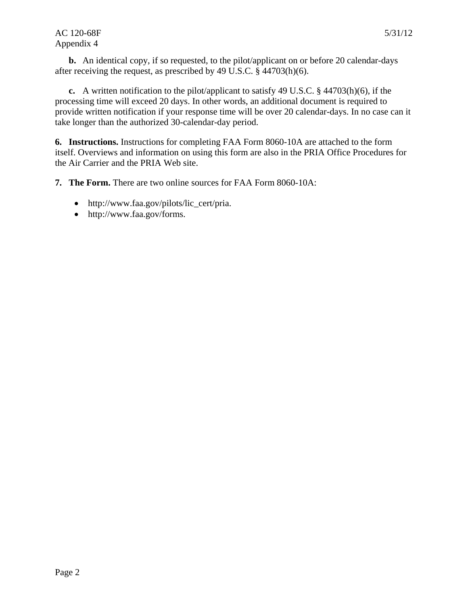#### AC 120-68F 5/31/12 Appendix 4

**b.** An identical copy, if so requested, to the pilot/applicant on or before 20 calendar-days after receiving the request, as prescribed by 49 U.S.C. § 44703(h)(6).

**c.** A written notification to the pilot/applicant to satisfy 49 U.S.C. § 44703(h)(6), if the processing time will exceed 20 days. In other words, an additional document is required to provide written notification if your response time will be over 20 calendar-days. In no case can it take longer than the authorized 30-calendar-day period.

**6. Instructions.** Instructions for completing FAA Form 8060-10A are attached to the form itself. Overviews and information on using this form are also in the PRIA Office Procedures for the Air Carrier and the PRIA Web site.

**7. The Form.** There are two online sources for FAA Form 8060-10A:

- http://www.faa.gov/pilots/lic\_cert/pria.
- http://www.faa.gov/forms.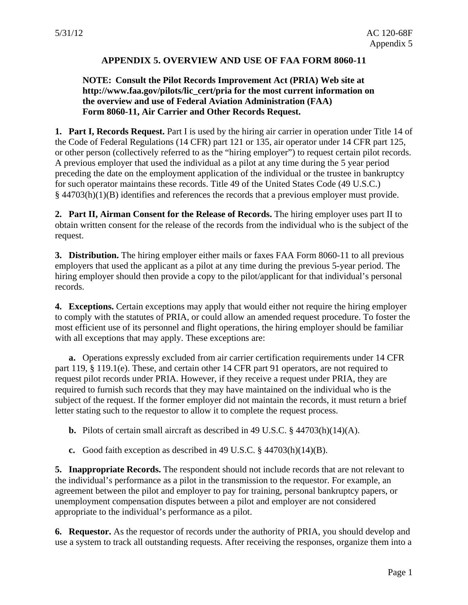#### **APPENDIX 5. OVERVIEW AND USE OF FAA FORM 8060-11**

#### <span id="page-44-0"></span>**NOTE: Consult the Pilot Records Improvement Act (PRIA) Web site at http://www.faa.gov/pilots/lic\_cert/pria for the most current information on the overview and use of Federal Aviation Administration (FAA) Form 8060-11, Air Carrier and Other Records Request.**

**1. Part I, Records Request.** Part I is used by the hiring air carrier in operation under Title 14 of the Code of Federal Regulations (14 CFR) part 121 or 135, air operator under 14 CFR part 125, or other person (collectively referred to as the "hiring employer") to request certain pilot records. A previous employer that used the individual as a pilot at any time during the 5 year period preceding the date on the employment application of the individual or the trustee in bankruptcy for such operator maintains these records. Title 49 of the United States Code (49 U.S.C.) § 44703(h)(1)(B) identifies and references the records that a previous employer must provide.

**2. Part II, Airman Consent for the Release of Records.** The hiring employer uses part II to obtain written consent for the release of the records from the individual who is the subject of the request.

**3. Distribution.** The hiring employer either mails or faxes FAA Form 8060-11 to all previous employers that used the applicant as a pilot at any time during the previous 5-year period. The hiring employer should then provide a copy to the pilot/applicant for that individual's personal records.

**4. Exceptions.** Certain exceptions may apply that would either not require the hiring employer to comply with the statutes of PRIA, or could allow an amended request procedure. To foster the most efficient use of its personnel and flight operations, the hiring employer should be familiar with all exceptions that may apply. These exceptions are:

**a.** Operations expressly excluded from air carrier certification requirements under 14 CFR part 119, § 119.1(e). These, and certain other 14 CFR part 91 operators, are not required to request pilot records under PRIA. However, if they receive a request under PRIA, they are required to furnish such records that they may have maintained on the individual who is the subject of the request. If the former employer did not maintain the records, it must return a brief letter stating such to the requestor to allow it to complete the request process.

**b.** Pilots of certain small aircraft as described in 49 U.S.C.  $\S$  44703(h)(14)(A).

**c.** Good faith exception as described in 49 U.S.C. § 44703(h)(14)(B).

**5. Inappropriate Records.** The respondent should not include records that are not relevant to the individual's performance as a pilot in the transmission to the requestor. For example, an agreement between the pilot and employer to pay for training, personal bankruptcy papers, or unemployment compensation disputes between a pilot and employer are not considered appropriate to the individual's performance as a pilot.

**6. Requestor.** As the requestor of records under the authority of PRIA, you should develop and use a system to track all outstanding requests. After receiving the responses, organize them into a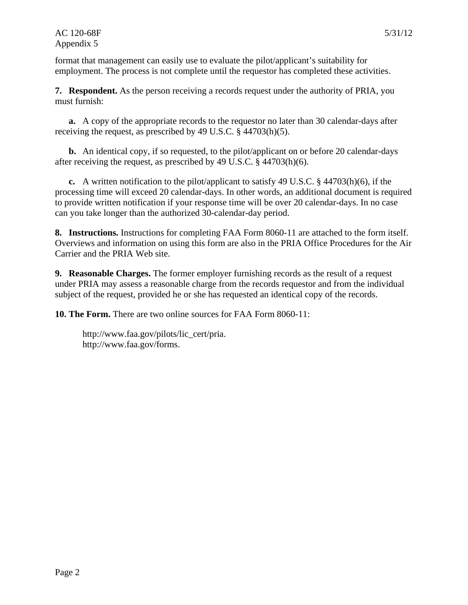#### AC 120-68F 5/31/12 Appendix 5

format that management can easily use to evaluate the pilot/applicant's suitability for employment. The process is not complete until the requestor has completed these activities.

**7. Respondent.** As the person receiving a records request under the authority of PRIA, you must furnish:

**a.** A copy of the appropriate records to the requestor no later than 30 calendar-days after receiving the request, as prescribed by 49 U.S.C. § 44703(h)(5).

**b.** An identical copy, if so requested, to the pilot/applicant on or before 20 calendar-days after receiving the request, as prescribed by 49 U.S.C. § 44703(h)(6).

**c.** A written notification to the pilot/applicant to satisfy 49 U.S.C. § 44703(h)(6), if the processing time will exceed 20 calendar-days. In other words, an additional document is required to provide written notification if your response time will be over 20 calendar-days. In no case can you take longer than the authorized 30-calendar-day period.

**8. Instructions.** Instructions for completing FAA Form 8060-11 are attached to the form itself. Overviews and information on using this form are also in the PRIA Office Procedures for the Air Carrier and the PRIA Web site.

**9. Reasonable Charges.** The former employer furnishing records as the result of a request under PRIA may assess a reasonable charge from the records requestor and from the individual subject of the request, provided he or she has requested an identical copy of the records.

**10. The Form.** There are two online sources for FAA Form 8060-11:

http://www.faa.gov/pilots/lic\_cert/pria. http://www.faa.gov/forms.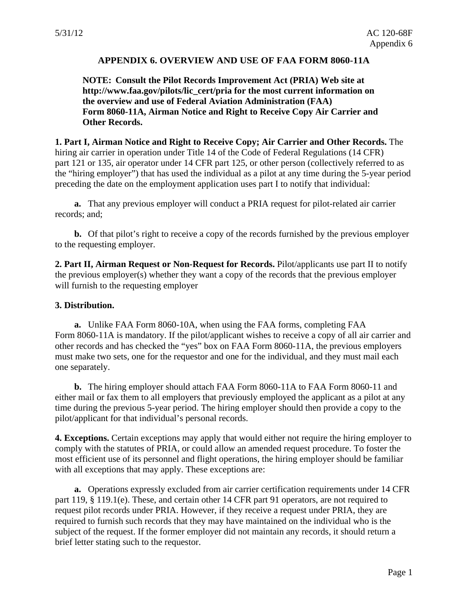#### **APPENDIX 6. OVERVIEW AND USE OF FAA FORM 8060-11A**

<span id="page-46-0"></span>**NOTE: Consult the Pilot Records Improvement Act (PRIA) Web site at http://www.faa.gov/pilots/lic\_cert/pria for the most current information on the overview and use of Federal Aviation Administration (FAA) Form 8060-11A, Airman Notice and Right to Receive Copy Air Carrier and Other Records.** 

**1. Part I, Airman Notice and Right to Receive Copy; Air Carrier and Other Records.** The hiring air carrier in operation under Title 14 of the Code of Federal Regulations (14 CFR) part 121 or 135, air operator under 14 CFR part 125, or other person (collectively referred to as the "hiring employer") that has used the individual as a pilot at any time during the 5-year period preceding the date on the employment application uses part I to notify that individual:

**a.** That any previous employer will conduct a PRIA request for pilot-related air carrier records; and;

**b.** Of that pilot's right to receive a copy of the records furnished by the previous employer to the requesting employer.

**2. Part II, Airman Request or Non-Request for Records.** Pilot/applicants use part II to notify the previous employer(s) whether they want a copy of the records that the previous employer will furnish to the requesting employer

#### **3. Distribution.**

**a.** Unlike FAA Form 8060-10A, when using the FAA forms, completing FAA Form 8060-11A is mandatory. If the pilot/applicant wishes to receive a copy of all air carrier and other records and has checked the "yes" box on FAA Form 8060-11A, the previous employers must make two sets, one for the requestor and one for the individual, and they must mail each one separately.

**b.** The hiring employer should attach FAA Form 8060-11A to FAA Form 8060-11 and either mail or fax them to all employers that previously employed the applicant as a pilot at any time during the previous 5-year period. The hiring employer should then provide a copy to the pilot/applicant for that individual's personal records.

**4. Exceptions.** Certain exceptions may apply that would either not require the hiring employer to comply with the statutes of PRIA, or could allow an amended request procedure. To foster the most efficient use of its personnel and flight operations, the hiring employer should be familiar with all exceptions that may apply. These exceptions are:

**a.** Operations expressly excluded from air carrier certification requirements under 14 CFR part 119, § 119.1(e). These, and certain other 14 CFR part 91 operators, are not required to request pilot records under PRIA. However, if they receive a request under PRIA, they are required to furnish such records that they may have maintained on the individual who is the subject of the request. If the former employer did not maintain any records, it should return a brief letter stating such to the requestor.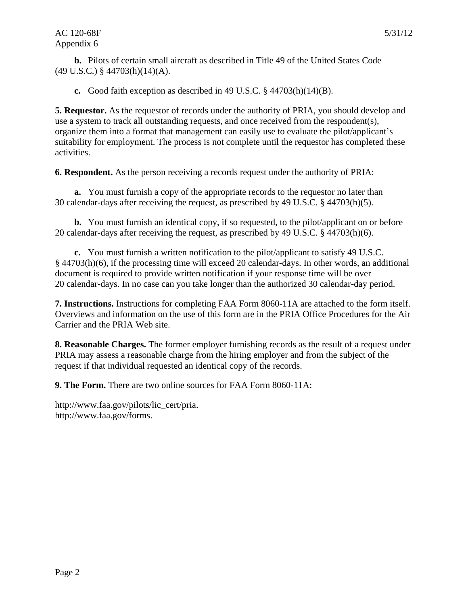**b.** Pilots of certain small aircraft as described in Title 49 of the United States Code (49 U.S.C.) § 44703(h)(14)(A).

**c.** Good faith exception as described in 49 U.S.C. § 44703(h)(14)(B).

**5. Requestor.** As the requestor of records under the authority of PRIA, you should develop and use a system to track all outstanding requests, and once received from the respondent(s), organize them into a format that management can easily use to evaluate the pilot/applicant's suitability for employment. The process is not complete until the requestor has completed these activities.

**6. Respondent.** As the person receiving a records request under the authority of PRIA:

**a.** You must furnish a copy of the appropriate records to the requestor no later than 30 calendar-days after receiving the request, as prescribed by 49 U.S.C. § 44703(h)(5).

**b.** You must furnish an identical copy, if so requested, to the pilot/applicant on or before 20 calendar-days after receiving the request, as prescribed by 49 U.S.C. § 44703(h)(6).

**c.** You must furnish a written notification to the pilot/applicant to satisfy 49 U.S.C. § 44703(h)(6), if the processing time will exceed 20 calendar-days. In other words, an additional document is required to provide written notification if your response time will be over 20 calendar-days. In no case can you take longer than the authorized 30 calendar-day period.

**7. Instructions.** Instructions for completing FAA Form 8060-11A are attached to the form itself. Overviews and information on the use of this form are in the PRIA Office Procedures for the Air Carrier and the PRIA Web site.

**8. Reasonable Charges.** The former employer furnishing records as the result of a request under PRIA may assess a reasonable charge from the hiring employer and from the subject of the request if that individual requested an identical copy of the records.

**9. The Form.** There are two online sources for FAA Form 8060-11A:

http://www.faa.gov/pilots/lic\_cert/pria. http://www.faa.gov/forms.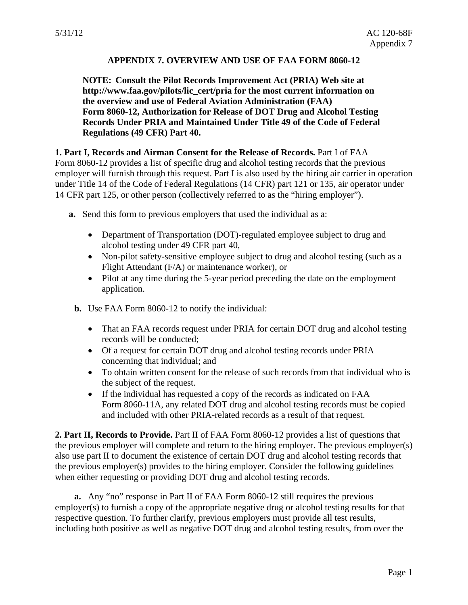## **APPENDIX 7. OVERVIEW AND USE OF FAA FORM 8060-12**

<span id="page-48-0"></span>**NOTE: Consult the Pilot Records Improvement Act (PRIA) Web site at http://www.faa.gov/pilots/lic\_cert/pria for the most current information on the overview and use of Federal Aviation Administration (FAA) Form 8060-12, Authorization for Release of DOT Drug and Alcohol Testing Records Under PRIA and Maintained Under Title 49 of the Code of Federal Regulations (49 CFR) Part 40.** 

#### **1. Part I, Records and Airman Consent for the Release of Records.** Part I of FAA

Form 8060-12 provides a list of specific drug and alcohol testing records that the previous employer will furnish through this request. Part I is also used by the hiring air carrier in operation under Title 14 of the Code of Federal Regulations (14 CFR) part 121 or 135, air operator under 14 CFR part 125, or other person (collectively referred to as the "hiring employer").

- **a.** Send this form to previous employers that used the individual as a:
	- Department of Transportation (DOT)-regulated employee subject to drug and alcohol testing under 49 CFR part 40,
	- Non-pilot safety-sensitive employee subject to drug and alcohol testing (such as a Flight Attendant (F/A) or maintenance worker), or
	- Pilot at any time during the 5-year period preceding the date on the employment application.
- **b.** Use FAA Form 8060-12 to notify the individual:
	- That an FAA records request under PRIA for certain DOT drug and alcohol testing records will be conducted;
	- Of a request for certain DOT drug and alcohol testing records under PRIA concerning that individual; and
	- To obtain written consent for the release of such records from that individual who is the subject of the request.
	- If the individual has requested a copy of the records as indicated on FAA Form 8060-11A, any related DOT drug and alcohol testing records must be copied and included with other PRIA-related records as a result of that request.

**2. Part II, Records to Provide.** Part II of FAA Form 8060-12 provides a list of questions that the previous employer will complete and return to the hiring employer. The previous employer(s) also use part II to document the existence of certain DOT drug and alcohol testing records that the previous employer(s) provides to the hiring employer. Consider the following guidelines when either requesting or providing DOT drug and alcohol testing records.

**a.** Any "no" response in Part II of FAA Form 8060-12 still requires the previous employer(s) to furnish a copy of the appropriate negative drug or alcohol testing results for that respective question. To further clarify, previous employers must provide all test results, including both positive as well as negative DOT drug and alcohol testing results, from over the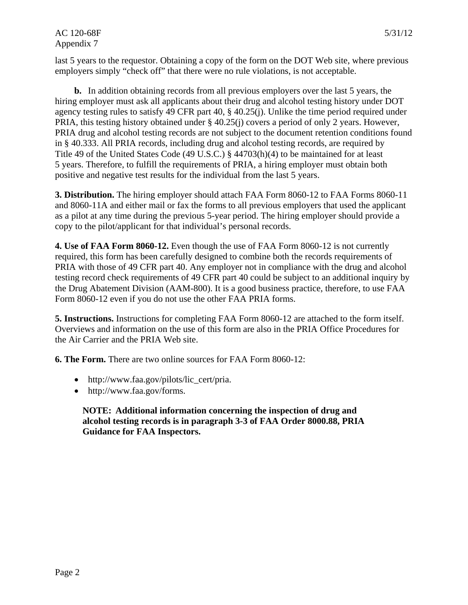last 5 years to the requestor. Obtaining a copy of the form on the DOT Web site, where previous employers simply "check off" that there were no rule violations, is not acceptable.

**b.** In addition obtaining records from all previous employers over the last 5 years, the hiring employer must ask all applicants about their drug and alcohol testing history under DOT agency testing rules to satisfy 49 CFR part 40, § 40.25(j). Unlike the time period required under PRIA, this testing history obtained under § 40.25(j) covers a period of only 2 years. However, PRIA drug and alcohol testing records are not subject to the document retention conditions found in § 40.333. All PRIA records, including drug and alcohol testing records, are required by Title 49 of the United States Code (49 U.S.C.) § 44703(h)(4) to be maintained for at least 5 years. Therefore, to fulfill the requirements of PRIA, a hiring employer must obtain both positive and negative test results for the individual from the last 5 years.

**3. Distribution.** The hiring employer should attach FAA Form 8060-12 to FAA Forms 8060-11 and 8060-11A and either mail or fax the forms to all previous employers that used the applicant as a pilot at any time during the previous 5-year period. The hiring employer should provide a copy to the pilot/applicant for that individual's personal records.

**4. Use of FAA Form 8060-12.** Even though the use of FAA Form 8060-12 is not currently required, this form has been carefully designed to combine both the records requirements of PRIA with those of 49 CFR part 40. Any employer not in compliance with the drug and alcohol testing record check requirements of 49 CFR part 40 could be subject to an additional inquiry by the Drug Abatement Division (AAM-800). It is a good business practice, therefore, to use FAA Form 8060-12 even if you do not use the other FAA PRIA forms.

**5. Instructions.** Instructions for completing FAA Form 8060-12 are attached to the form itself. Overviews and information on the use of this form are also in the PRIA Office Procedures for the Air Carrier and the PRIA Web site.

**6. The Form.** There are two online sources for FAA Form 8060-12:

- http://www.faa.gov/pilots/lic\_cert/pria.
- http://www.faa.gov/forms.

**NOTE: Additional information concerning the inspection of drug and alcohol testing records is in paragraph 3-3 of FAA Order 8000.88, PRIA Guidance for FAA Inspectors.**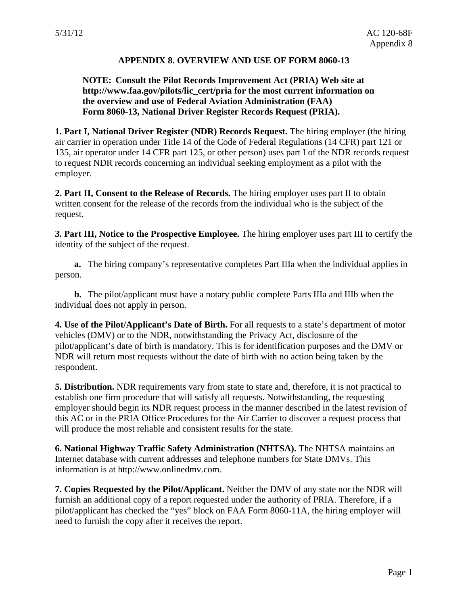#### **APPENDIX 8. OVERVIEW AND USE OF FORM 8060-13**

#### <span id="page-50-0"></span>**NOTE: Consult the Pilot Records Improvement Act (PRIA) Web site at http://www.faa.gov/pilots/lic\_cert/pria for the most current information on the overview and use of Federal Aviation Administration (FAA) Form 8060-13, National Driver Register Records Request (PRIA).**

**1. Part I, National Driver Register (NDR) Records Request.** The hiring employer (the hiring air carrier in operation under Title 14 of the Code of Federal Regulations (14 CFR) part 121 or 135, air operator under 14 CFR part 125, or other person) uses part I of the NDR records request to request NDR records concerning an individual seeking employment as a pilot with the employer.

**2. Part II, Consent to the Release of Records.** The hiring employer uses part II to obtain written consent for the release of the records from the individual who is the subject of the request.

**3. Part III, Notice to the Prospective Employee.** The hiring employer uses part III to certify the identity of the subject of the request.

**a.** The hiring company's representative completes Part IIIa when the individual applies in person.

**b.** The pilot/applicant must have a notary public complete Parts IIIa and IIIb when the individual does not apply in person.

**4. Use of the Pilot/Applicant's Date of Birth.** For all requests to a state's department of motor vehicles (DMV) or to the NDR, notwithstanding the Privacy Act, disclosure of the pilot/applicant's date of birth is mandatory. This is for identification purposes and the DMV or NDR will return most requests without the date of birth with no action being taken by the respondent.

**5. Distribution.** NDR requirements vary from state to state and, therefore, it is not practical to establish one firm procedure that will satisfy all requests. Notwithstanding, the requesting employer should begin its NDR request process in the manner described in the latest revision of this AC or in the PRIA Office Procedures for the Air Carrier to discover a request process that will produce the most reliable and consistent results for the state.

**6. National Highway Traffic Safety Administration (NHTSA).** The NHTSA maintains an Internet database with current addresses and telephone numbers for State DMVs. This information is at http://www.onlinedmv.com.

**7. Copies Requested by the Pilot/Applicant.** Neither the DMV of any state nor the NDR will furnish an additional copy of a report requested under the authority of PRIA. Therefore, if a pilot/applicant has checked the "yes" block on FAA Form 8060-11A, the hiring employer will need to furnish the copy after it receives the report.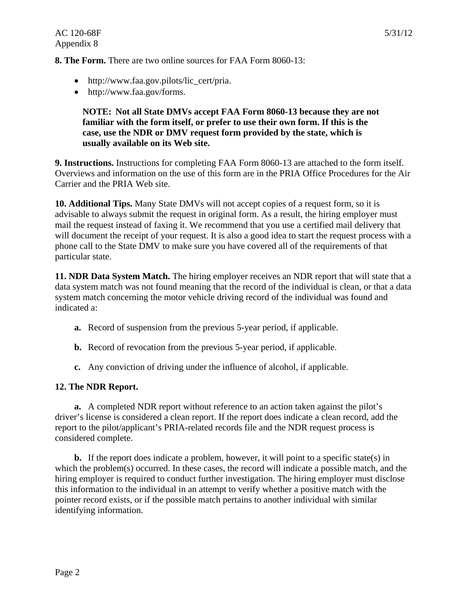**8. The Form.** There are two online sources for FAA Form 8060-13:

- http://www.faa.gov.pilots/lic\_cert/pria.
- http://www.faa.gov/forms.

#### **NOTE: Not all State DMVs accept FAA Form 8060-13 because they are not familiar with the form itself, or prefer to use their own form. If this is the case, use the NDR or DMV request form provided by the state, which is usually available on its Web site.**

**9. Instructions.** Instructions for completing FAA Form 8060-13 are attached to the form itself. Overviews and information on the use of this form are in the PRIA Office Procedures for the Air Carrier and the PRIA Web site.

**10. Additional Tips.** Many State DMVs will not accept copies of a request form, so it is advisable to always submit the request in original form. As a result, the hiring employer must mail the request instead of faxing it. We recommend that you use a certified mail delivery that will document the receipt of your request. It is also a good idea to start the request process with a phone call to the State DMV to make sure you have covered all of the requirements of that particular state.

**11. NDR Data System Match.** The hiring employer receives an NDR report that will state that a data system match was not found meaning that the record of the individual is clean, or that a data system match concerning the motor vehicle driving record of the individual was found and indicated a:

- **a.** Record of suspension from the previous 5-year period, if applicable.
- **b.** Record of revocation from the previous 5-year period, if applicable.
- **c.** Any conviction of driving under the influence of alcohol, if applicable.

## **12. The NDR Report.**

**a.** A completed NDR report without reference to an action taken against the pilot's driver's license is considered a clean report. If the report does indicate a clean record, add the report to the pilot/applicant's PRIA-related records file and the NDR request process is considered complete.

**b.** If the report does indicate a problem, however, it will point to a specific state(s) in which the problem(s) occurred. In these cases, the record will indicate a possible match, and the hiring employer is required to conduct further investigation. The hiring employer must disclose this information to the individual in an attempt to verify whether a positive match with the pointer record exists, or if the possible match pertains to another individual with similar identifying information.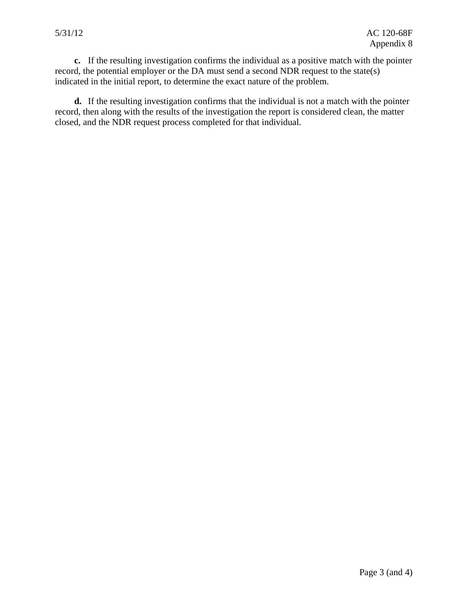**c.** If the resulting investigation confirms the individual as a positive match with the pointer record, the potential employer or the DA must send a second NDR request to the state(s) indicated in the initial report, to determine the exact nature of the problem.

**d.** If the resulting investigation confirms that the individual is not a match with the pointer record, then along with the results of the investigation the report is considered clean, the matter closed, and the NDR request process completed for that individual.